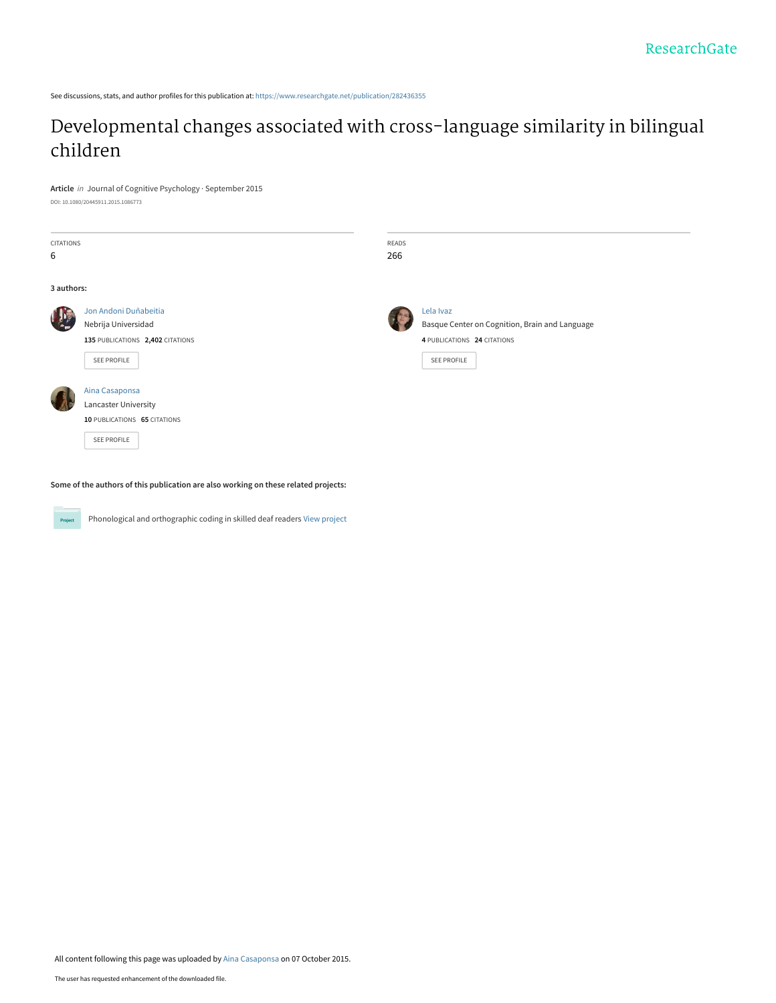See discussions, stats, and author profiles for this publication at: [https://www.researchgate.net/publication/282436355](https://www.researchgate.net/publication/282436355_Developmental_changes_associated_with_cross-language_similarity_in_bilingual_children?enrichId=rgreq-6d412addd792dfa6b170c8ca16eaf891-XXX&enrichSource=Y292ZXJQYWdlOzI4MjQzNjM1NTtBUzoyODE4NDY1OTczNDExODlAMTQ0NDIwODg3NDEwMA%3D%3D&el=1_x_2&_esc=publicationCoverPdf)

# [Developmental changes associated with cross-language similarity in bilingual](https://www.researchgate.net/publication/282436355_Developmental_changes_associated_with_cross-language_similarity_in_bilingual_children?enrichId=rgreq-6d412addd792dfa6b170c8ca16eaf891-XXX&enrichSource=Y292ZXJQYWdlOzI4MjQzNjM1NTtBUzoyODE4NDY1OTczNDExODlAMTQ0NDIwODg3NDEwMA%3D%3D&el=1_x_3&_esc=publicationCoverPdf) children

#### **Article** in Journal of Cognitive Psychology · September 2015

DOI: 10.1080/20445911.2015.1086773

| CITATIONS<br>6 |                                                                                                 | READS<br>266 |                                                                                                                  |
|----------------|-------------------------------------------------------------------------------------------------|--------------|------------------------------------------------------------------------------------------------------------------|
| 3 authors:     |                                                                                                 |              |                                                                                                                  |
|                | Jon Andoni Duñabeitia<br>Nebrija Universidad<br>135 PUBLICATIONS 2,402 CITATIONS<br>SEE PROFILE |              | Lela Ivaz<br>Basque Center on Cognition, Brain and Language<br>4 PUBLICATIONS 24 CITATIONS<br><b>SEE PROFILE</b> |
|                | Aina Casaponsa<br>Lancaster University<br>10 PUBLICATIONS 65 CITATIONS<br>SEE PROFILE           |              |                                                                                                                  |

**Some of the authors of this publication are also working on these related projects:**

Project

Phonological and orthographic coding in skilled deaf readers [View project](https://www.researchgate.net/project/Phonological-and-orthographic-coding-in-skilled-deaf-readers?enrichId=rgreq-6d412addd792dfa6b170c8ca16eaf891-XXX&enrichSource=Y292ZXJQYWdlOzI4MjQzNjM1NTtBUzoyODE4NDY1OTczNDExODlAMTQ0NDIwODg3NDEwMA%3D%3D&el=1_x_9&_esc=publicationCoverPdf)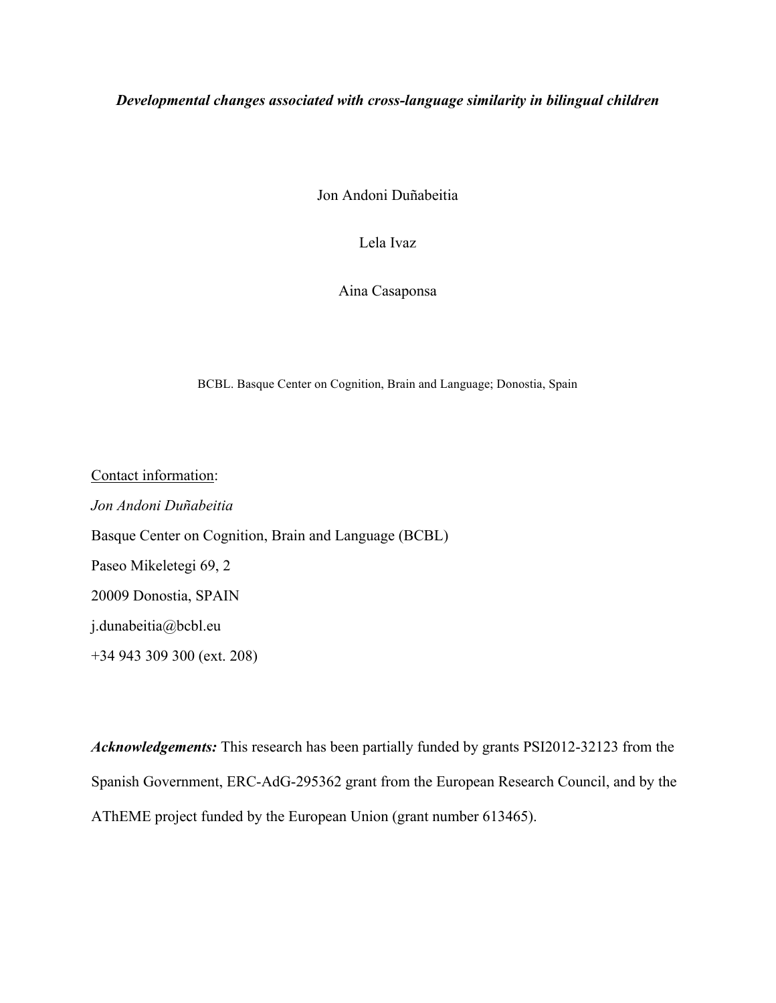*Developmental changes associated with cross-language similarity in bilingual children*

Jon Andoni Duñabeitia

Lela Ivaz

Aina Casaponsa

BCBL. Basque Center on Cognition, Brain and Language; Donostia, Spain

Contact information: *Jon Andoni Duñabeitia* Basque Center on Cognition, Brain and Language (BCBL) Paseo Mikeletegi 69, 2 20009 Donostia, SPAIN j.dunabeitia@bcbl.eu +34 943 309 300 (ext. 208)

*Acknowledgements:* This research has been partially funded by grants PSI2012-32123 from the Spanish Government, ERC-AdG-295362 grant from the European Research Council, and by the AThEME project funded by the European Union (grant number 613465).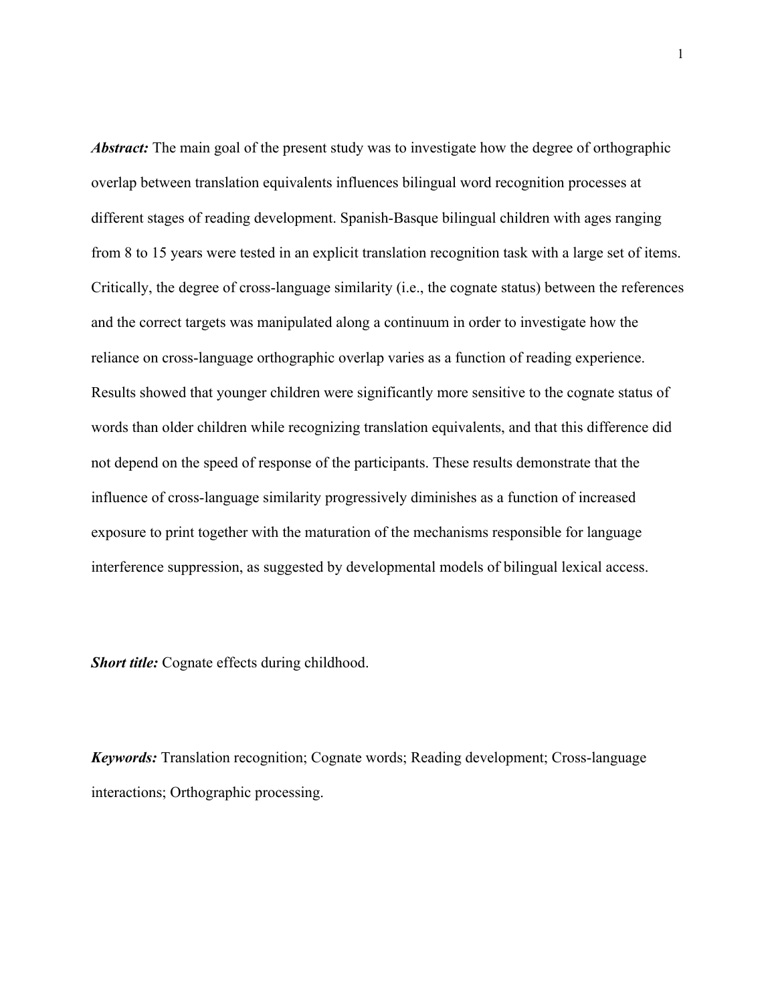*Abstract:* The main goal of the present study was to investigate how the degree of orthographic overlap between translation equivalents influences bilingual word recognition processes at different stages of reading development. Spanish-Basque bilingual children with ages ranging from 8 to 15 years were tested in an explicit translation recognition task with a large set of items. Critically, the degree of cross-language similarity (i.e., the cognate status) between the references and the correct targets was manipulated along a continuum in order to investigate how the reliance on cross-language orthographic overlap varies as a function of reading experience. Results showed that younger children were significantly more sensitive to the cognate status of words than older children while recognizing translation equivalents, and that this difference did not depend on the speed of response of the participants. These results demonstrate that the influence of cross-language similarity progressively diminishes as a function of increased exposure to print together with the maturation of the mechanisms responsible for language interference suppression, as suggested by developmental models of bilingual lexical access.

*Short title:* Cognate effects during childhood.

*Keywords:* Translation recognition; Cognate words; Reading development; Cross-language interactions; Orthographic processing.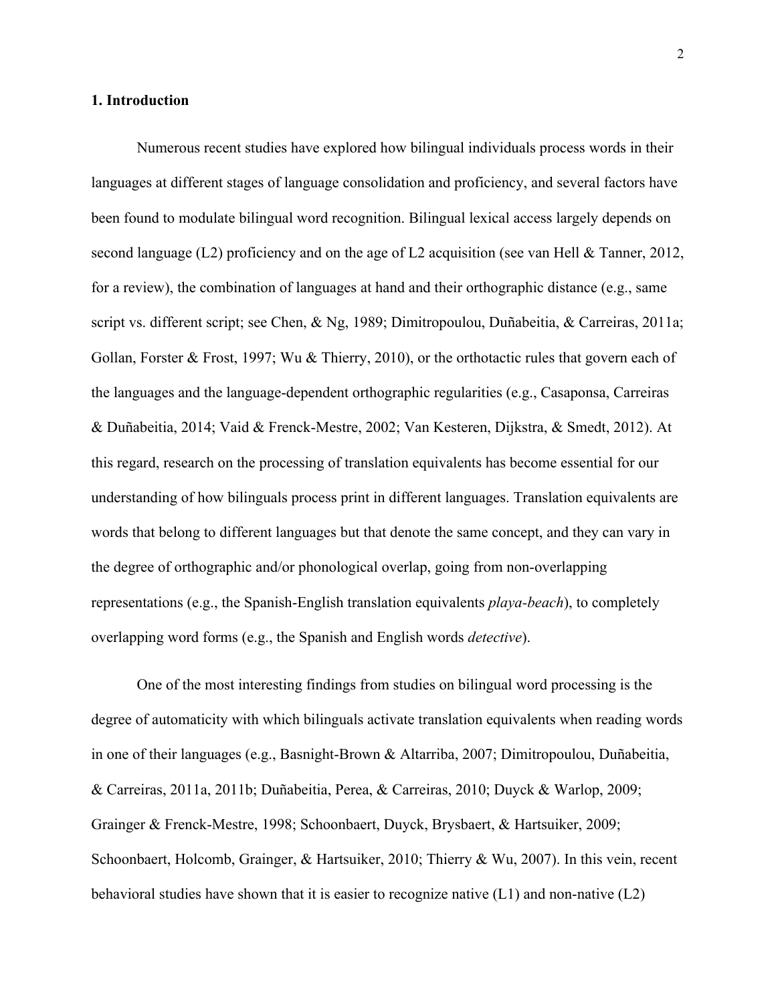#### **1. Introduction**

Numerous recent studies have explored how bilingual individuals process words in their languages at different stages of language consolidation and proficiency, and several factors have been found to modulate bilingual word recognition. Bilingual lexical access largely depends on second language (L2) proficiency and on the age of L2 acquisition (see van Hell & Tanner, 2012, for a review), the combination of languages at hand and their orthographic distance (e.g., same script vs. different script; see Chen, & Ng, 1989; Dimitropoulou, Duñabeitia, & Carreiras, 2011a; Gollan, Forster & Frost, 1997; Wu & Thierry, 2010), or the orthotactic rules that govern each of the languages and the language-dependent orthographic regularities (e.g., Casaponsa, Carreiras & Duñabeitia, 2014; Vaid & Frenck-Mestre, 2002; Van Kesteren, Dijkstra, & Smedt, 2012). At this regard, research on the processing of translation equivalents has become essential for our understanding of how bilinguals process print in different languages. Translation equivalents are words that belong to different languages but that denote the same concept, and they can vary in the degree of orthographic and/or phonological overlap, going from non-overlapping representations (e.g., the Spanish-English translation equivalents *playa-beach*), to completely overlapping word forms (e.g., the Spanish and English words *detective*).

One of the most interesting findings from studies on bilingual word processing is the degree of automaticity with which bilinguals activate translation equivalents when reading words in one of their languages (e.g., Basnight-Brown & Altarriba, 2007; Dimitropoulou, Duñabeitia, & Carreiras, 2011a, 2011b; Duñabeitia, Perea, & Carreiras, 2010; Duyck & Warlop, 2009; Grainger & Frenck-Mestre, 1998; Schoonbaert, Duyck, Brysbaert, & Hartsuiker, 2009; Schoonbaert, Holcomb, Grainger, & Hartsuiker, 2010; Thierry & Wu, 2007). In this vein, recent behavioral studies have shown that it is easier to recognize native  $(L1)$  and non-native  $(L2)$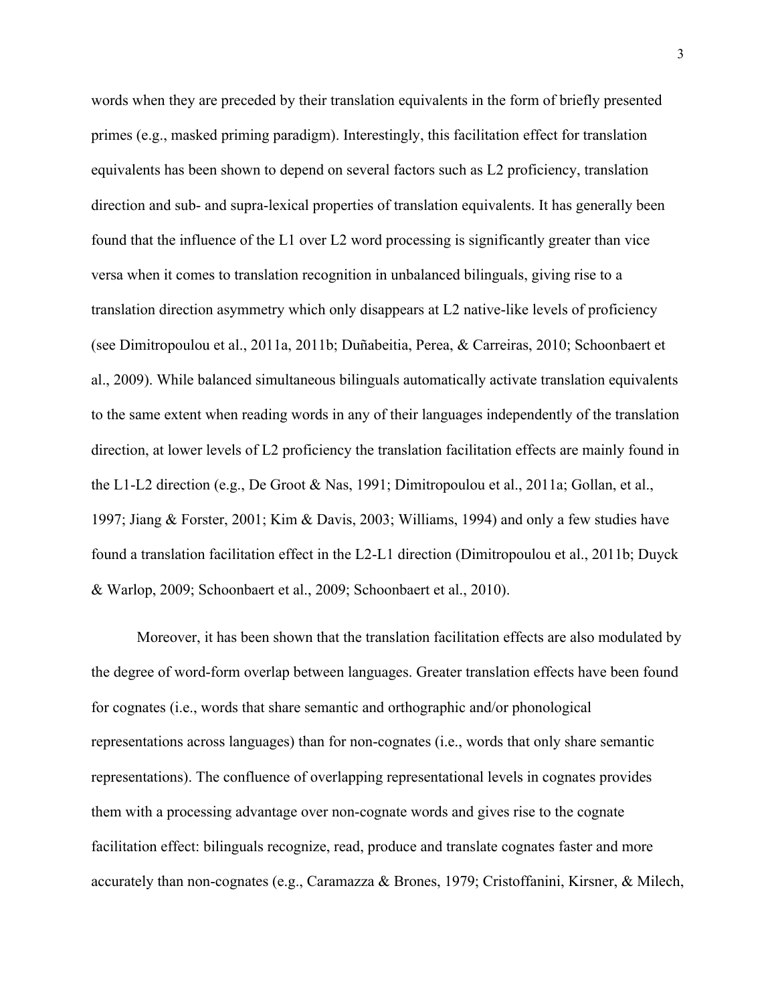words when they are preceded by their translation equivalents in the form of briefly presented primes (e.g., masked priming paradigm). Interestingly, this facilitation effect for translation equivalents has been shown to depend on several factors such as L2 proficiency, translation direction and sub- and supra-lexical properties of translation equivalents. It has generally been found that the influence of the L1 over L2 word processing is significantly greater than vice versa when it comes to translation recognition in unbalanced bilinguals, giving rise to a translation direction asymmetry which only disappears at L2 native-like levels of proficiency (see Dimitropoulou et al., 2011a, 2011b; Duñabeitia, Perea, & Carreiras, 2010; Schoonbaert et al., 2009). While balanced simultaneous bilinguals automatically activate translation equivalents to the same extent when reading words in any of their languages independently of the translation direction, at lower levels of L2 proficiency the translation facilitation effects are mainly found in the L1-L2 direction (e.g., De Groot & Nas, 1991; Dimitropoulou et al., 2011a; Gollan, et al., 1997; Jiang & Forster, 2001; Kim & Davis, 2003; Williams, 1994) and only a few studies have found a translation facilitation effect in the L2-L1 direction (Dimitropoulou et al., 2011b; Duyck & Warlop, 2009; Schoonbaert et al., 2009; Schoonbaert et al., 2010).

Moreover, it has been shown that the translation facilitation effects are also modulated by the degree of word-form overlap between languages. Greater translation effects have been found for cognates (i.e., words that share semantic and orthographic and/or phonological representations across languages) than for non-cognates (i.e., words that only share semantic representations). The confluence of overlapping representational levels in cognates provides them with a processing advantage over non-cognate words and gives rise to the cognate facilitation effect: bilinguals recognize, read, produce and translate cognates faster and more accurately than non-cognates (e.g., Caramazza & Brones, 1979; Cristoffanini, Kirsner, & Milech,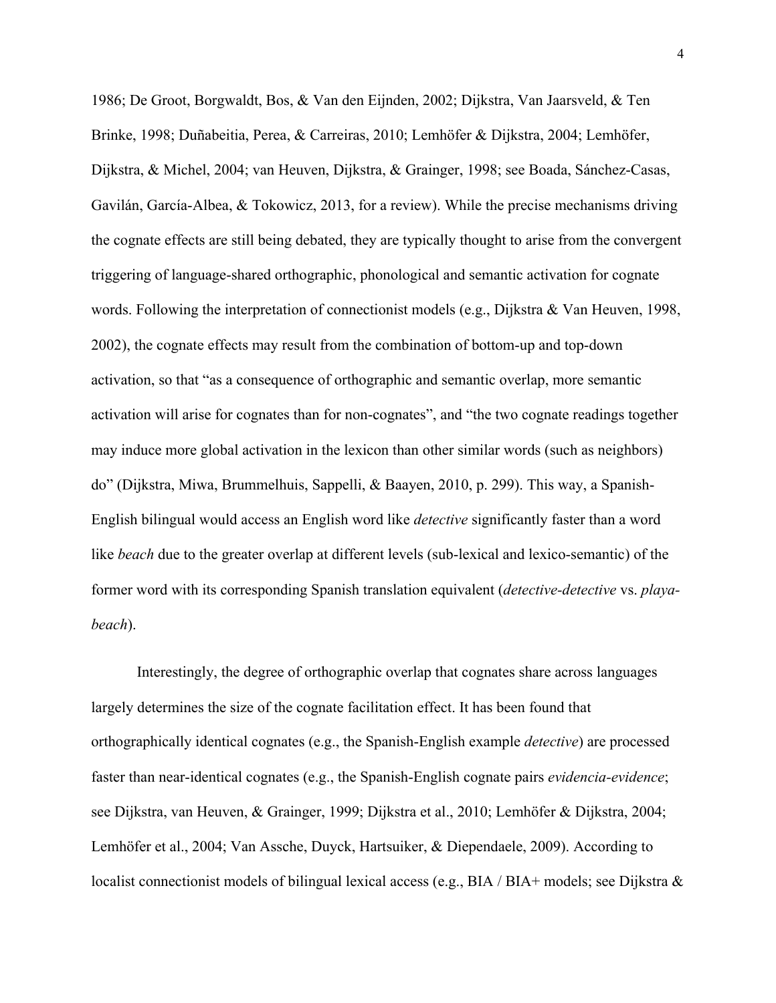1986; De Groot, Borgwaldt, Bos, & Van den Eijnden, 2002; Dijkstra, Van Jaarsveld, & Ten Brinke, 1998; Duñabeitia, Perea, & Carreiras, 2010; Lemhöfer & Dijkstra, 2004; Lemhöfer, Dijkstra, & Michel, 2004; van Heuven, Dijkstra, & Grainger, 1998; see Boada, Sánchez-Casas, Gavilán, García-Albea, & Tokowicz, 2013, for a review). While the precise mechanisms driving the cognate effects are still being debated, they are typically thought to arise from the convergent triggering of language-shared orthographic, phonological and semantic activation for cognate words. Following the interpretation of connectionist models (e.g., Dijkstra & Van Heuven, 1998, 2002), the cognate effects may result from the combination of bottom-up and top-down activation, so that "as a consequence of orthographic and semantic overlap, more semantic activation will arise for cognates than for non-cognates", and "the two cognate readings together may induce more global activation in the lexicon than other similar words (such as neighbors) do" (Dijkstra, Miwa, Brummelhuis, Sappelli, & Baayen, 2010, p. 299). This way, a Spanish-English bilingual would access an English word like *detective* significantly faster than a word like *beach* due to the greater overlap at different levels (sub-lexical and lexico-semantic) of the former word with its corresponding Spanish translation equivalent (*detective-detective* vs. *playabeach*).

Interestingly, the degree of orthographic overlap that cognates share across languages largely determines the size of the cognate facilitation effect. It has been found that orthographically identical cognates (e.g., the Spanish-English example *detective*) are processed faster than near-identical cognates (e.g., the Spanish-English cognate pairs *evidencia-evidence*; see Dijkstra, van Heuven, & Grainger, 1999; Dijkstra et al., 2010; Lemhöfer & Dijkstra, 2004; Lemhöfer et al., 2004; Van Assche, Duyck, Hartsuiker, & Diependaele, 2009). According to localist connectionist models of bilingual lexical access (e.g., BIA / BIA+ models; see Dijkstra &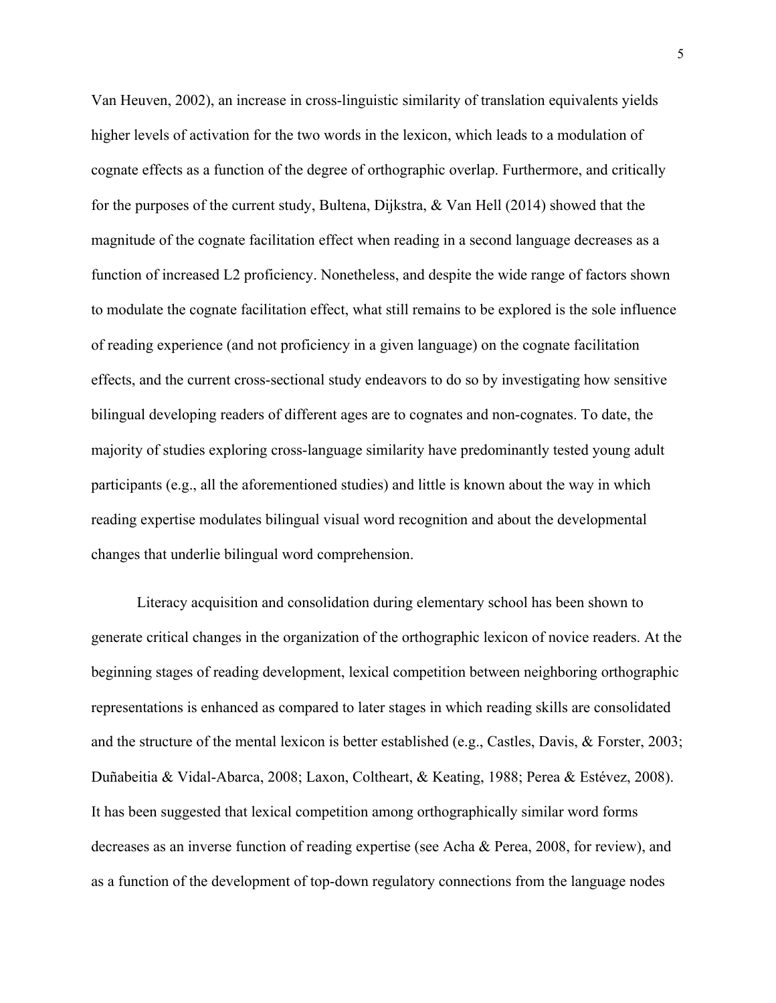Van Heuven, 2002), an increase in cross-linguistic similarity of translation equivalents yields higher levels of activation for the two words in the lexicon, which leads to a modulation of cognate effects as a function of the degree of orthographic overlap. Furthermore, and critically for the purposes of the current study, Bultena, Dijkstra, & Van Hell (2014) showed that the magnitude of the cognate facilitation effect when reading in a second language decreases as a function of increased L2 proficiency. Nonetheless, and despite the wide range of factors shown to modulate the cognate facilitation effect, what still remains to be explored is the sole influence of reading experience (and not proficiency in a given language) on the cognate facilitation effects, and the current cross-sectional study endeavors to do so by investigating how sensitive bilingual developing readers of different ages are to cognates and non-cognates. To date, the majority of studies exploring cross-language similarity have predominantly tested young adult participants (e.g., all the aforementioned studies) and little is known about the way in which reading expertise modulates bilingual visual word recognition and about the developmental changes that underlie bilingual word comprehension.

Literacy acquisition and consolidation during elementary school has been shown to generate critical changes in the organization of the orthographic lexicon of novice readers. At the beginning stages of reading development, lexical competition between neighboring orthographic representations is enhanced as compared to later stages in which reading skills are consolidated and the structure of the mental lexicon is better established (e.g., Castles, Davis, & Forster, 2003; Duñabeitia & Vidal-Abarca, 2008; Laxon, Coltheart, & Keating, 1988; Perea & Estévez, 2008). It has been suggested that lexical competition among orthographically similar word forms decreases as an inverse function of reading expertise (see Acha & Perea, 2008, for review), and as a function of the development of top-down regulatory connections from the language nodes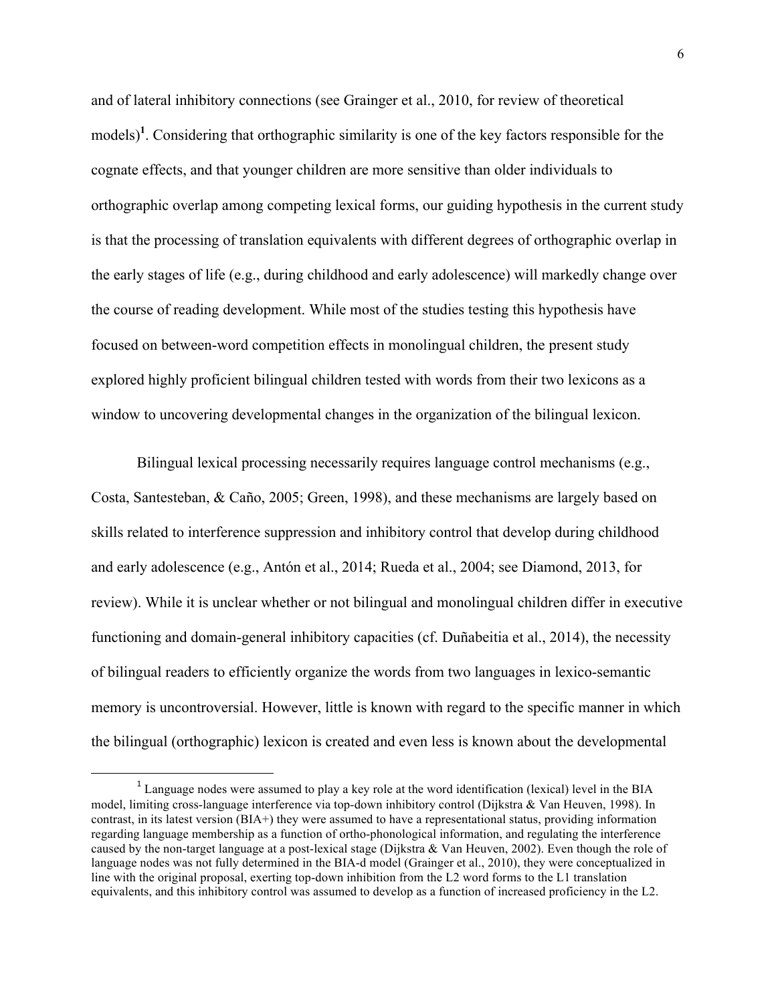and of lateral inhibitory connections (see Grainger et al., 2010, for review of theoretical models)<sup>1</sup>. Considering that orthographic similarity is one of the key factors responsible for the cognate effects, and that younger children are more sensitive than older individuals to orthographic overlap among competing lexical forms, our guiding hypothesis in the current study is that the processing of translation equivalents with different degrees of orthographic overlap in the early stages of life (e.g., during childhood and early adolescence) will markedly change over the course of reading development. While most of the studies testing this hypothesis have focused on between-word competition effects in monolingual children, the present study explored highly proficient bilingual children tested with words from their two lexicons as a window to uncovering developmental changes in the organization of the bilingual lexicon.

Bilingual lexical processing necessarily requires language control mechanisms (e.g., Costa, Santesteban, & Caño, 2005; Green, 1998), and these mechanisms are largely based on skills related to interference suppression and inhibitory control that develop during childhood and early adolescence (e.g., Antón et al., 2014; Rueda et al., 2004; see Diamond, 2013, for review). While it is unclear whether or not bilingual and monolingual children differ in executive functioning and domain-general inhibitory capacities (cf. Duñabeitia et al., 2014), the necessity of bilingual readers to efficiently organize the words from two languages in lexico-semantic memory is uncontroversial. However, little is known with regard to the specific manner in which the bilingual (orthographic) lexicon is created and even less is known about the developmental

 

<sup>&</sup>lt;sup>1</sup> Language nodes were assumed to play a key role at the word identification (lexical) level in the BIA model, limiting cross-language interference via top-down inhibitory control (Dijkstra & Van Heuven, 1998). In contrast, in its latest version (BIA+) they were assumed to have a representational status, providing information regarding language membership as a function of ortho-phonological information, and regulating the interference caused by the non-target language at a post-lexical stage (Dijkstra & Van Heuven, 2002). Even though the role of language nodes was not fully determined in the BIA-d model (Grainger et al., 2010), they were conceptualized in line with the original proposal, exerting top-down inhibition from the L2 word forms to the L1 translation equivalents, and this inhibitory control was assumed to develop as a function of increased proficiency in the L2.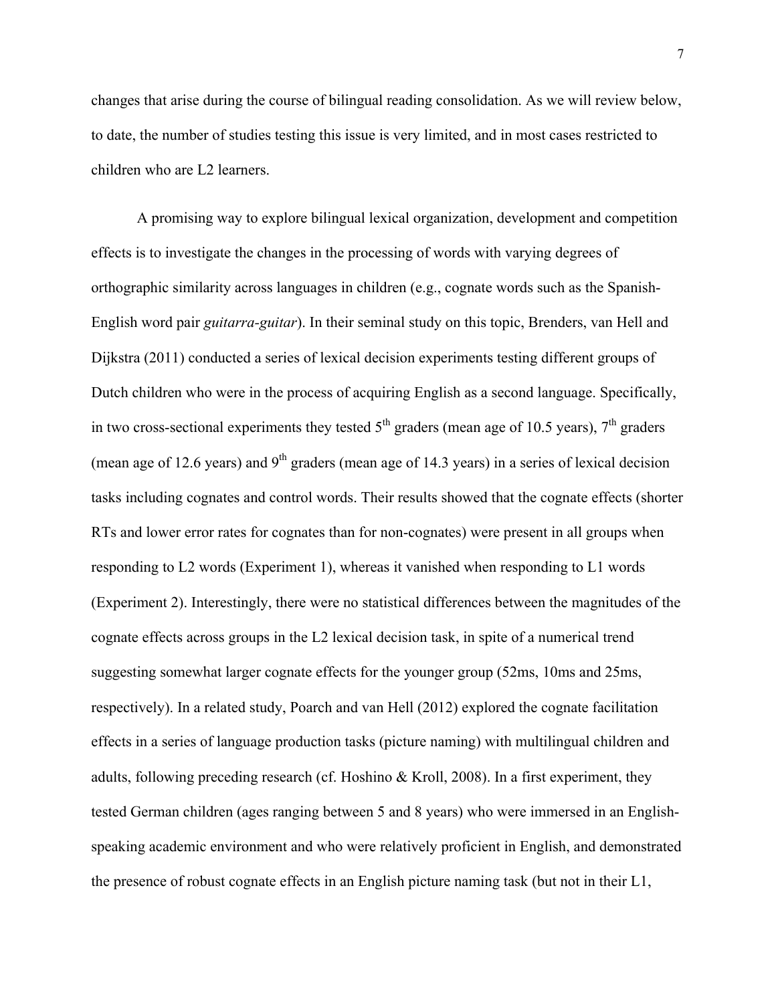changes that arise during the course of bilingual reading consolidation. As we will review below, to date, the number of studies testing this issue is very limited, and in most cases restricted to children who are L2 learners.

A promising way to explore bilingual lexical organization, development and competition effects is to investigate the changes in the processing of words with varying degrees of orthographic similarity across languages in children (e.g., cognate words such as the Spanish-English word pair *guitarra-guitar*). In their seminal study on this topic, Brenders, van Hell and Dijkstra (2011) conducted a series of lexical decision experiments testing different groups of Dutch children who were in the process of acquiring English as a second language. Specifically, in two cross-sectional experiments they tested  $5<sup>th</sup>$  graders (mean age of 10.5 years),  $7<sup>th</sup>$  graders (mean age of 12.6 years) and  $9<sup>th</sup>$  graders (mean age of 14.3 years) in a series of lexical decision tasks including cognates and control words. Their results showed that the cognate effects (shorter RTs and lower error rates for cognates than for non-cognates) were present in all groups when responding to L2 words (Experiment 1), whereas it vanished when responding to L1 words (Experiment 2). Interestingly, there were no statistical differences between the magnitudes of the cognate effects across groups in the L2 lexical decision task, in spite of a numerical trend suggesting somewhat larger cognate effects for the younger group (52ms, 10ms and 25ms, respectively). In a related study, Poarch and van Hell (2012) explored the cognate facilitation effects in a series of language production tasks (picture naming) with multilingual children and adults, following preceding research (cf. Hoshino & Kroll, 2008). In a first experiment, they tested German children (ages ranging between 5 and 8 years) who were immersed in an Englishspeaking academic environment and who were relatively proficient in English, and demonstrated the presence of robust cognate effects in an English picture naming task (but not in their L1,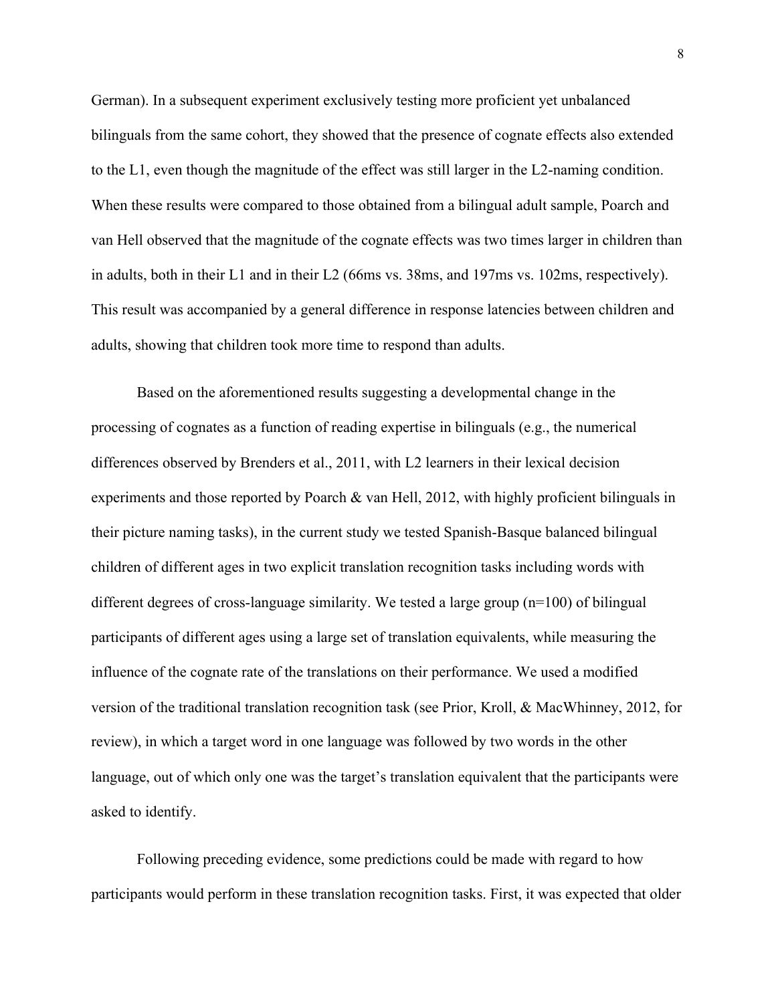German). In a subsequent experiment exclusively testing more proficient yet unbalanced bilinguals from the same cohort, they showed that the presence of cognate effects also extended to the L1, even though the magnitude of the effect was still larger in the L2-naming condition. When these results were compared to those obtained from a bilingual adult sample, Poarch and van Hell observed that the magnitude of the cognate effects was two times larger in children than in adults, both in their L1 and in their L2 (66ms vs. 38ms, and 197ms vs. 102ms, respectively). This result was accompanied by a general difference in response latencies between children and adults, showing that children took more time to respond than adults.

Based on the aforementioned results suggesting a developmental change in the processing of cognates as a function of reading expertise in bilinguals (e.g., the numerical differences observed by Brenders et al., 2011, with L2 learners in their lexical decision experiments and those reported by Poarch & van Hell, 2012, with highly proficient bilinguals in their picture naming tasks), in the current study we tested Spanish-Basque balanced bilingual children of different ages in two explicit translation recognition tasks including words with different degrees of cross-language similarity. We tested a large group (n=100) of bilingual participants of different ages using a large set of translation equivalents, while measuring the influence of the cognate rate of the translations on their performance. We used a modified version of the traditional translation recognition task (see Prior, Kroll, & MacWhinney, 2012, for review), in which a target word in one language was followed by two words in the other language, out of which only one was the target's translation equivalent that the participants were asked to identify.

Following preceding evidence, some predictions could be made with regard to how participants would perform in these translation recognition tasks. First, it was expected that older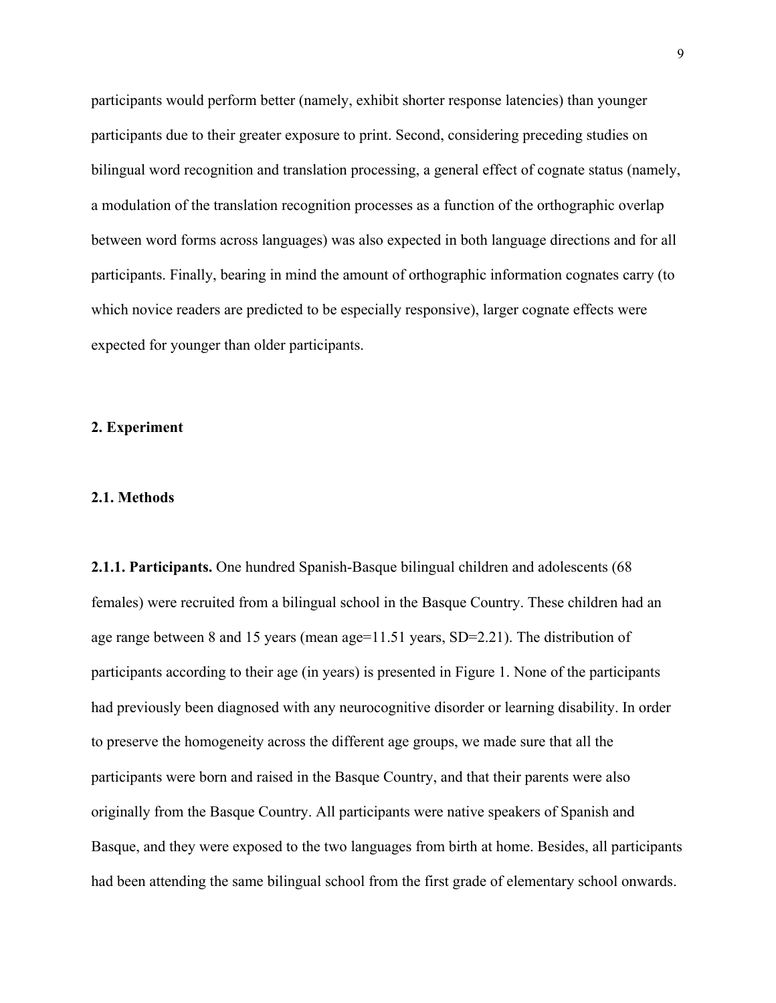participants would perform better (namely, exhibit shorter response latencies) than younger participants due to their greater exposure to print. Second, considering preceding studies on bilingual word recognition and translation processing, a general effect of cognate status (namely, a modulation of the translation recognition processes as a function of the orthographic overlap between word forms across languages) was also expected in both language directions and for all participants. Finally, bearing in mind the amount of orthographic information cognates carry (to which novice readers are predicted to be especially responsive), larger cognate effects were expected for younger than older participants.

#### **2. Experiment**

#### **2.1. Methods**

**2.1.1. Participants.** One hundred Spanish-Basque bilingual children and adolescents (68 females) were recruited from a bilingual school in the Basque Country. These children had an age range between 8 and 15 years (mean age=11.51 years, SD=2.21). The distribution of participants according to their age (in years) is presented in Figure 1. None of the participants had previously been diagnosed with any neurocognitive disorder or learning disability. In order to preserve the homogeneity across the different age groups, we made sure that all the participants were born and raised in the Basque Country, and that their parents were also originally from the Basque Country. All participants were native speakers of Spanish and Basque, and they were exposed to the two languages from birth at home. Besides, all participants had been attending the same bilingual school from the first grade of elementary school onwards.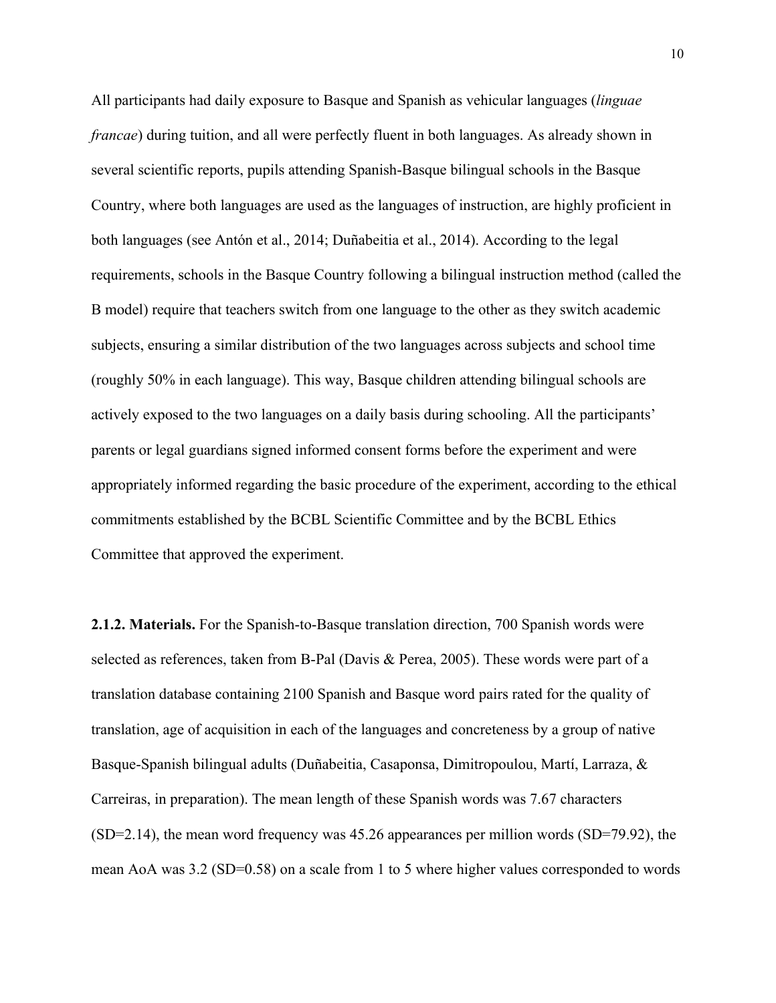All participants had daily exposure to Basque and Spanish as vehicular languages (*linguae francae*) during tuition, and all were perfectly fluent in both languages. As already shown in several scientific reports, pupils attending Spanish-Basque bilingual schools in the Basque Country, where both languages are used as the languages of instruction, are highly proficient in both languages (see Antón et al., 2014; Duñabeitia et al., 2014). According to the legal requirements, schools in the Basque Country following a bilingual instruction method (called the B model) require that teachers switch from one language to the other as they switch academic subjects, ensuring a similar distribution of the two languages across subjects and school time (roughly 50% in each language). This way, Basque children attending bilingual schools are actively exposed to the two languages on a daily basis during schooling. All the participants' parents or legal guardians signed informed consent forms before the experiment and were appropriately informed regarding the basic procedure of the experiment, according to the ethical commitments established by the BCBL Scientific Committee and by the BCBL Ethics Committee that approved the experiment.

**2.1.2. Materials.** For the Spanish-to-Basque translation direction, 700 Spanish words were selected as references, taken from B-Pal (Davis & Perea, 2005). These words were part of a translation database containing 2100 Spanish and Basque word pairs rated for the quality of translation, age of acquisition in each of the languages and concreteness by a group of native Basque-Spanish bilingual adults (Duñabeitia, Casaponsa, Dimitropoulou, Martí, Larraza, & Carreiras, in preparation). The mean length of these Spanish words was 7.67 characters (SD=2.14), the mean word frequency was 45.26 appearances per million words (SD=79.92), the mean AoA was 3.2 (SD=0.58) on a scale from 1 to 5 where higher values corresponded to words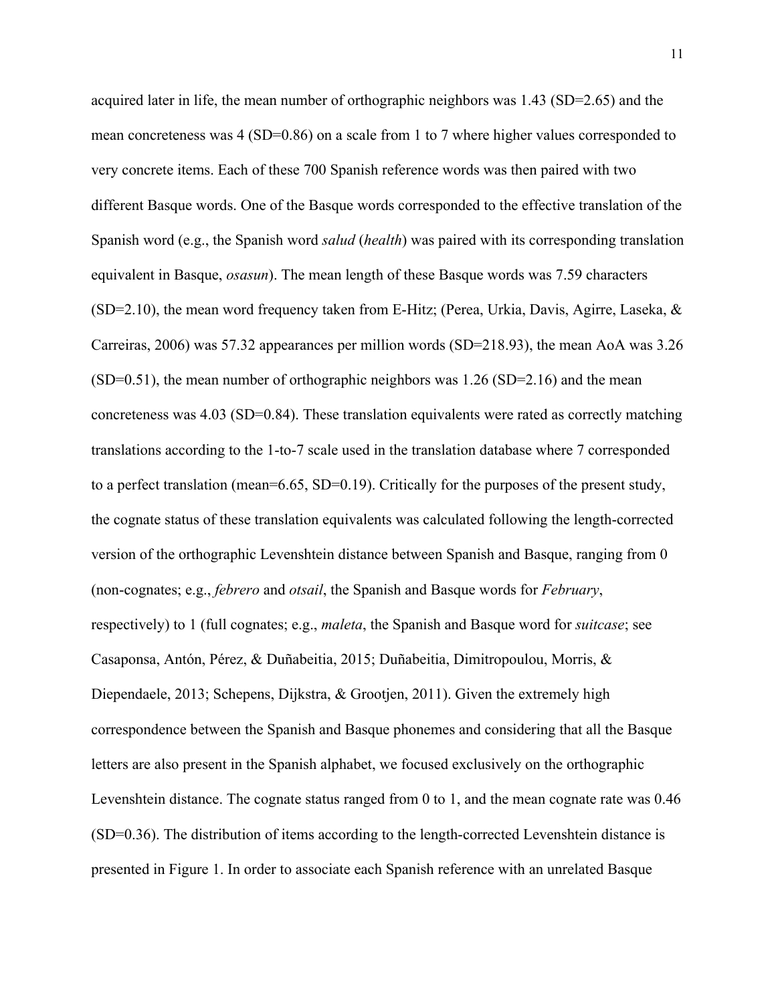acquired later in life, the mean number of orthographic neighbors was 1.43 (SD=2.65) and the mean concreteness was 4 (SD=0.86) on a scale from 1 to 7 where higher values corresponded to very concrete items. Each of these 700 Spanish reference words was then paired with two different Basque words. One of the Basque words corresponded to the effective translation of the Spanish word (e.g., the Spanish word *salud* (*health*) was paired with its corresponding translation equivalent in Basque, *osasun*). The mean length of these Basque words was 7.59 characters (SD=2.10), the mean word frequency taken from E-Hitz; (Perea, Urkia, Davis, Agirre, Laseka, & Carreiras, 2006) was 57.32 appearances per million words (SD=218.93), the mean AoA was 3.26 (SD=0.51), the mean number of orthographic neighbors was 1.26 (SD=2.16) and the mean concreteness was  $4.03$  (SD=0.84). These translation equivalents were rated as correctly matching translations according to the 1-to-7 scale used in the translation database where 7 corresponded to a perfect translation (mean=6.65, SD=0.19). Critically for the purposes of the present study, the cognate status of these translation equivalents was calculated following the length-corrected version of the orthographic Levenshtein distance between Spanish and Basque, ranging from 0 (non-cognates; e.g., *febrero* and *otsail*, the Spanish and Basque words for *February*, respectively) to 1 (full cognates; e.g., *maleta*, the Spanish and Basque word for *suitcase*; see Casaponsa, Antón, Pérez, & Duñabeitia, 2015; Duñabeitia, Dimitropoulou, Morris, & Diependaele, 2013; Schepens, Dijkstra, & Grootjen, 2011). Given the extremely high correspondence between the Spanish and Basque phonemes and considering that all the Basque letters are also present in the Spanish alphabet, we focused exclusively on the orthographic Levenshtein distance. The cognate status ranged from 0 to 1, and the mean cognate rate was 0.46 (SD=0.36). The distribution of items according to the length-corrected Levenshtein distance is presented in Figure 1. In order to associate each Spanish reference with an unrelated Basque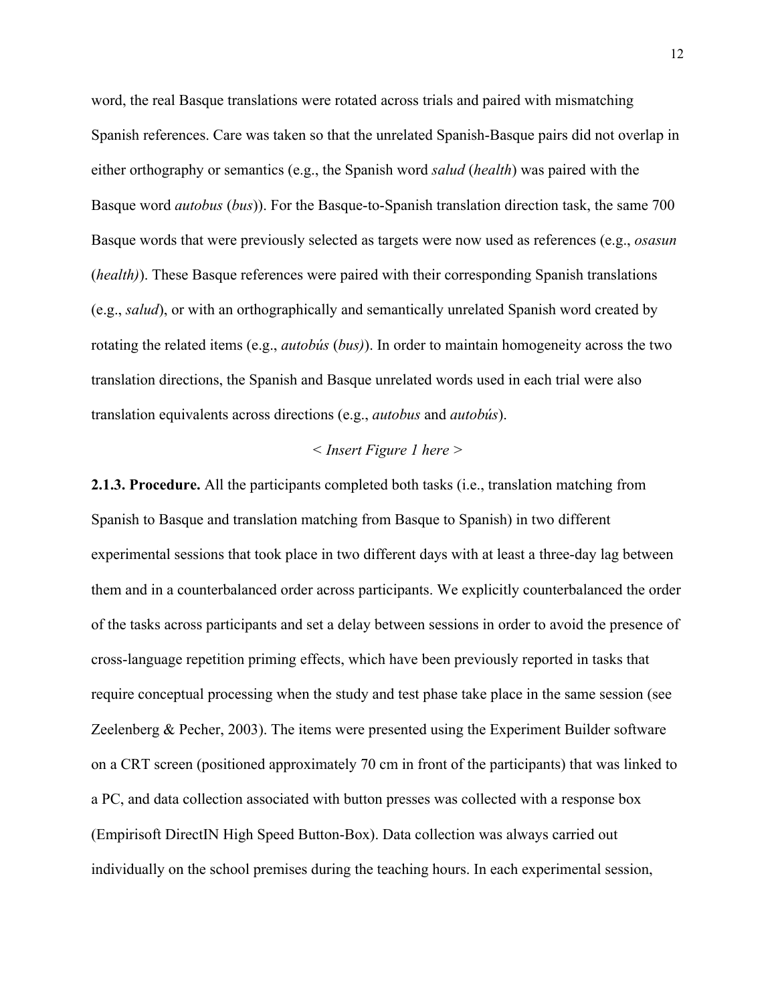word, the real Basque translations were rotated across trials and paired with mismatching Spanish references. Care was taken so that the unrelated Spanish-Basque pairs did not overlap in either orthography or semantics (e.g., the Spanish word *salud* (*health*) was paired with the Basque word *autobus* (*bus*)). For the Basque-to-Spanish translation direction task, the same 700 Basque words that were previously selected as targets were now used as references (e.g., *osasun* (*health)*). These Basque references were paired with their corresponding Spanish translations (e.g., *salud*), or with an orthographically and semantically unrelated Spanish word created by rotating the related items (e.g., *autobús* (*bus)*). In order to maintain homogeneity across the two translation directions, the Spanish and Basque unrelated words used in each trial were also translation equivalents across directions (e.g., *autobus* and *autobús*).

#### *< Insert Figure 1 here >*

**2.1.3. Procedure.** All the participants completed both tasks (i.e., translation matching from Spanish to Basque and translation matching from Basque to Spanish) in two different experimental sessions that took place in two different days with at least a three-day lag between them and in a counterbalanced order across participants. We explicitly counterbalanced the order of the tasks across participants and set a delay between sessions in order to avoid the presence of cross-language repetition priming effects, which have been previously reported in tasks that require conceptual processing when the study and test phase take place in the same session (see Zeelenberg & Pecher, 2003). The items were presented using the Experiment Builder software on a CRT screen (positioned approximately 70 cm in front of the participants) that was linked to a PC, and data collection associated with button presses was collected with a response box (Empirisoft DirectIN High Speed Button-Box). Data collection was always carried out individually on the school premises during the teaching hours. In each experimental session,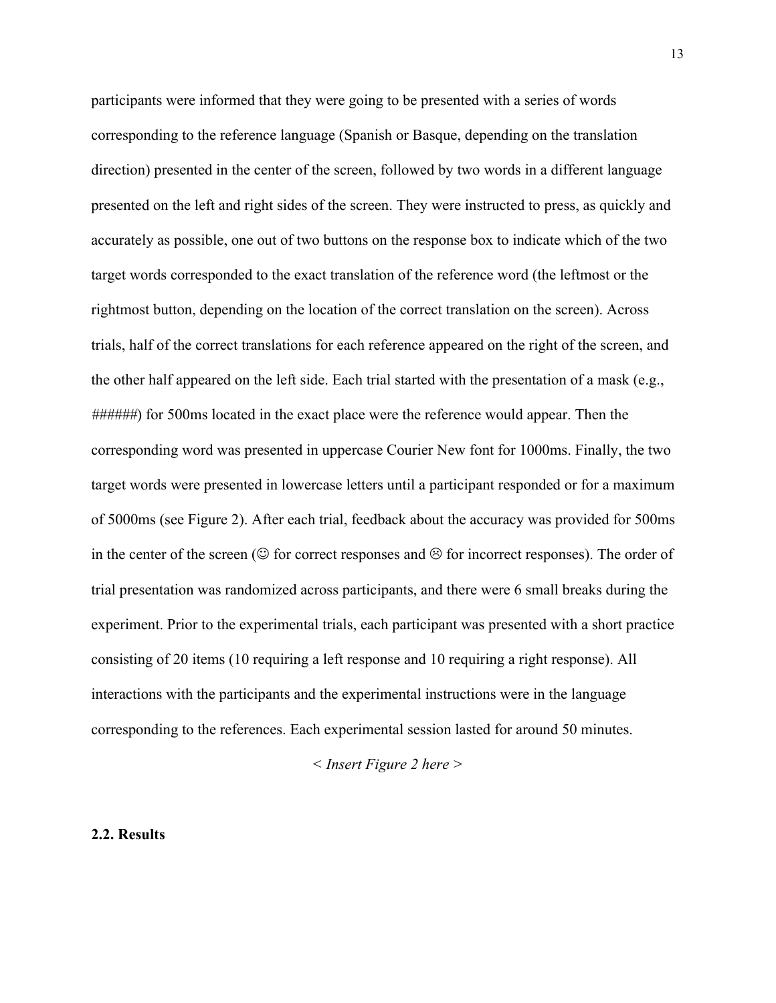participants were informed that they were going to be presented with a series of words corresponding to the reference language (Spanish or Basque, depending on the translation direction) presented in the center of the screen, followed by two words in a different language presented on the left and right sides of the screen. They were instructed to press, as quickly and accurately as possible, one out of two buttons on the response box to indicate which of the two target words corresponded to the exact translation of the reference word (the leftmost or the rightmost button, depending on the location of the correct translation on the screen). Across trials, half of the correct translations for each reference appeared on the right of the screen, and the other half appeared on the left side. Each trial started with the presentation of a mask (e.g., *######*) for 500ms located in the exact place were the reference would appear. Then the corresponding word was presented in uppercase Courier New font for 1000ms. Finally, the two target words were presented in lowercase letters until a participant responded or for a maximum of 5000ms (see Figure 2). After each trial, feedback about the accuracy was provided for 500ms in the center of the screen ( $\odot$  for correct responses and  $\odot$  for incorrect responses). The order of trial presentation was randomized across participants, and there were 6 small breaks during the experiment. Prior to the experimental trials, each participant was presented with a short practice consisting of 20 items (10 requiring a left response and 10 requiring a right response). All interactions with the participants and the experimental instructions were in the language corresponding to the references. Each experimental session lasted for around 50 minutes.

*< Insert Figure 2 here >*

#### **2.2. Results**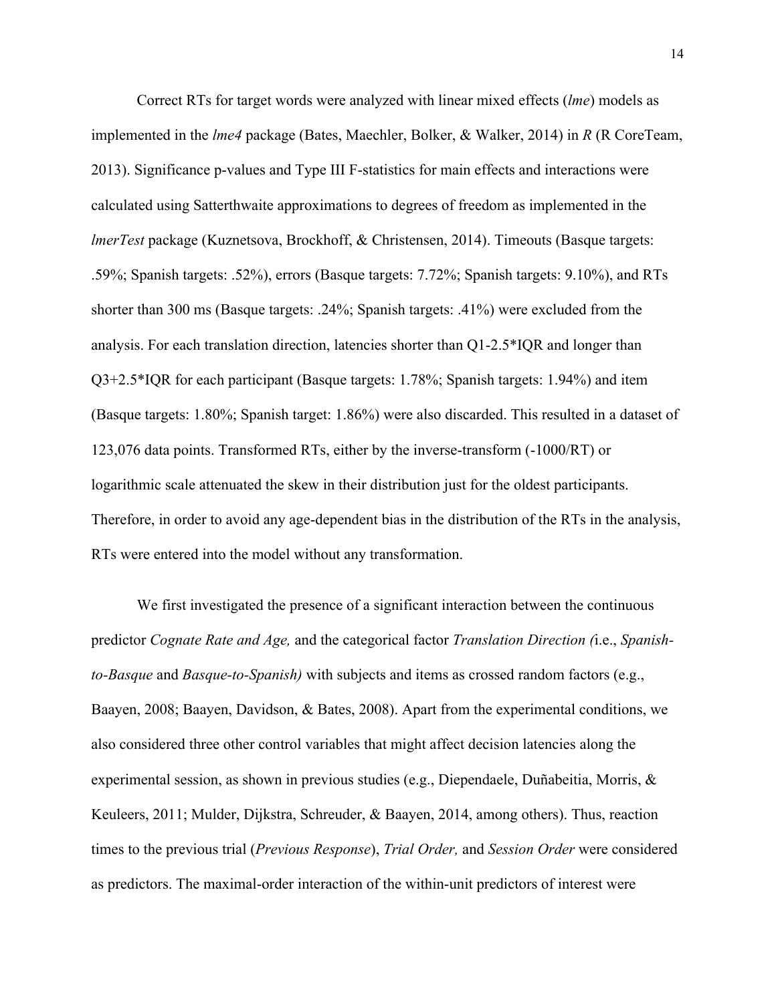Correct RTs for target words were analyzed with linear mixed effects (*lme*) models as implemented in the *lme4* package (Bates, Maechler, Bolker, & Walker, 2014) in *R* (R CoreTeam, 2013). Significance p-values and Type III F-statistics for main effects and interactions were calculated using Satterthwaite approximations to degrees of freedom as implemented in the *lmerTest* package (Kuznetsova, Brockhoff, & Christensen, 2014). Timeouts (Basque targets: .59%; Spanish targets: .52%), errors (Basque targets: 7.72%; Spanish targets: 9.10%), and RTs shorter than 300 ms (Basque targets: .24%; Spanish targets: .41%) were excluded from the analysis. For each translation direction, latencies shorter than Q1-2.5\*IQR and longer than Q3+2.5\*IQR for each participant (Basque targets: 1.78%; Spanish targets: 1.94%) and item (Basque targets: 1.80%; Spanish target: 1.86%) were also discarded. This resulted in a dataset of 123,076 data points. Transformed RTs, either by the inverse-transform (-1000/RT) or logarithmic scale attenuated the skew in their distribution just for the oldest participants. Therefore, in order to avoid any age-dependent bias in the distribution of the RTs in the analysis, RTs were entered into the model without any transformation.

We first investigated the presence of a significant interaction between the continuous predictor *Cognate Rate and Age,* and the categorical factor *Translation Direction (*i.e., *Spanishto-Basque* and *Basque-to-Spanish)* with subjects and items as crossed random factors (e.g., Baayen, 2008; Baayen, Davidson, & Bates, 2008). Apart from the experimental conditions, we also considered three other control variables that might affect decision latencies along the experimental session, as shown in previous studies (e.g., Diependaele, Duñabeitia, Morris, & Keuleers, 2011; Mulder, Dijkstra, Schreuder, & Baayen, 2014, among others). Thus, reaction times to the previous trial (*Previous Response*), *Trial Order,* and *Session Order* were considered as predictors. The maximal-order interaction of the within-unit predictors of interest were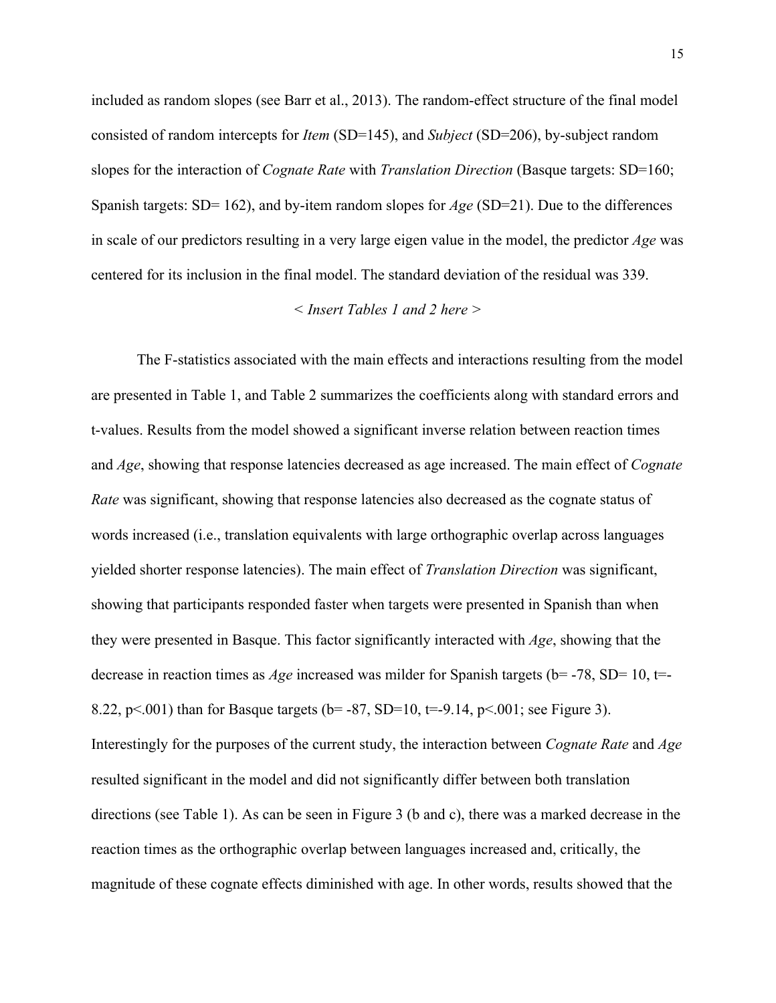included as random slopes (see Barr et al., 2013). The random-effect structure of the final model consisted of random intercepts for *Item* (SD=145), and *Subject* (SD=206), by-subject random slopes for the interaction of *Cognate Rate* with *Translation Direction* (Basque targets: SD=160; Spanish targets: SD= 162), and by-item random slopes for *Age* (SD=21). Due to the differences in scale of our predictors resulting in a very large eigen value in the model, the predictor *Age* was centered for its inclusion in the final model. The standard deviation of the residual was 339.

#### *< Insert Tables 1 and 2 here >*

The F-statistics associated with the main effects and interactions resulting from the model are presented in Table 1, and Table 2 summarizes the coefficients along with standard errors and t-values. Results from the model showed a significant inverse relation between reaction times and *Age*, showing that response latencies decreased as age increased. The main effect of *Cognate Rate* was significant, showing that response latencies also decreased as the cognate status of words increased (i.e., translation equivalents with large orthographic overlap across languages yielded shorter response latencies). The main effect of *Translation Direction* was significant, showing that participants responded faster when targets were presented in Spanish than when they were presented in Basque. This factor significantly interacted with *Age*, showing that the decrease in reaction times as *Age* increased was milder for Spanish targets (b= -78, SD= 10, t=-8.22, p<.001) than for Basque targets ( $b = -87$ , SD=10,  $t = -9.14$ , p<.001; see Figure 3). Interestingly for the purposes of the current study, the interaction between *Cognate Rate* and *Age* resulted significant in the model and did not significantly differ between both translation directions (see Table 1). As can be seen in Figure 3 (b and c), there was a marked decrease in the reaction times as the orthographic overlap between languages increased and, critically, the magnitude of these cognate effects diminished with age. In other words, results showed that the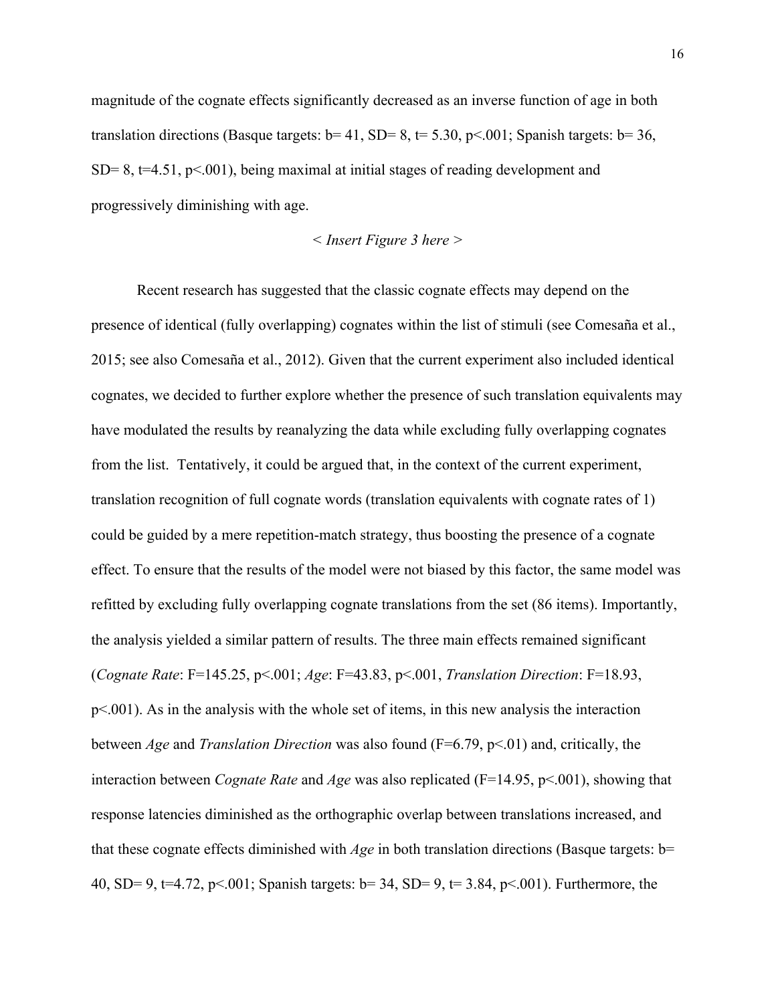magnitude of the cognate effects significantly decreased as an inverse function of age in both translation directions (Basque targets:  $b=41$ , SD= 8,  $t=5.30$ ,  $p<.001$ ; Spanish targets:  $b=36$ ,  $SD= 8$ ,  $t=4.51$ ,  $p<001$ , being maximal at initial stages of reading development and progressively diminishing with age.

$$
<
$$
 Insert Figure 3 here  $>$ 

Recent research has suggested that the classic cognate effects may depend on the presence of identical (fully overlapping) cognates within the list of stimuli (see Comesaña et al., 2015; see also Comesaña et al., 2012). Given that the current experiment also included identical cognates, we decided to further explore whether the presence of such translation equivalents may have modulated the results by reanalyzing the data while excluding fully overlapping cognates from the list. Tentatively, it could be argued that, in the context of the current experiment, translation recognition of full cognate words (translation equivalents with cognate rates of 1) could be guided by a mere repetition-match strategy, thus boosting the presence of a cognate effect. To ensure that the results of the model were not biased by this factor, the same model was refitted by excluding fully overlapping cognate translations from the set (86 items). Importantly, the analysis yielded a similar pattern of results. The three main effects remained significant (*Cognate Rate*: F=145.25, p<.001; *Age*: F=43.83, p<.001, *Translation Direction*: F=18.93, p<.001). As in the analysis with the whole set of items, in this new analysis the interaction between *Age* and *Translation Direction* was also found (F=6.79, p<.01) and, critically, the interaction between *Cognate Rate* and *Age* was also replicated (F=14.95, p<.001), showing that response latencies diminished as the orthographic overlap between translations increased, and that these cognate effects diminished with *Age* in both translation directions (Basque targets: b= 40, SD= 9, t=4.72, p<.001; Spanish targets: b= 34, SD= 9, t= 3.84, p<.001). Furthermore, the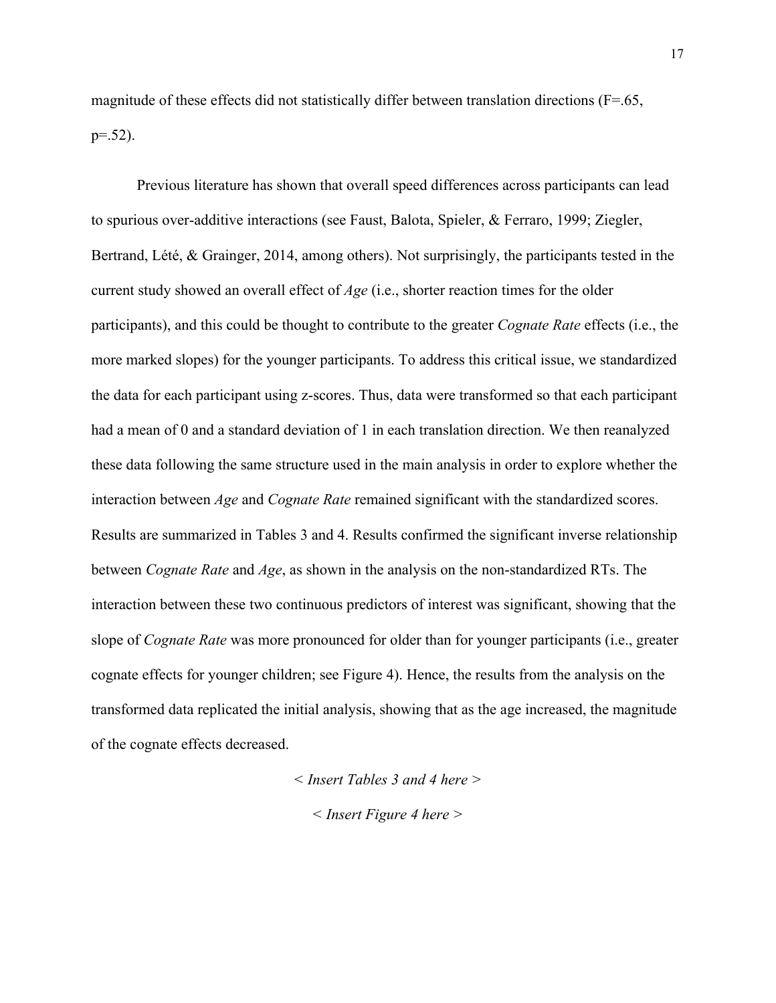magnitude of these effects did not statistically differ between translation directions ( $F=65$ ,  $p=.52$ ).

Previous literature has shown that overall speed differences across participants can lead to spurious over-additive interactions (see Faust, Balota, Spieler, & Ferraro, 1999; Ziegler, Bertrand, Lété, & Grainger, 2014, among others). Not surprisingly, the participants tested in the current study showed an overall effect of *Age* (i.e., shorter reaction times for the older participants), and this could be thought to contribute to the greater *Cognate Rate* effects (i.e., the more marked slopes) for the younger participants. To address this critical issue, we standardized the data for each participant using z-scores. Thus, data were transformed so that each participant had a mean of 0 and a standard deviation of 1 in each translation direction. We then reanalyzed these data following the same structure used in the main analysis in order to explore whether the interaction between *Age* and *Cognate Rate* remained significant with the standardized scores. Results are summarized in Tables 3 and 4. Results confirmed the significant inverse relationship between *Cognate Rate* and *Age*, as shown in the analysis on the non-standardized RTs. The interaction between these two continuous predictors of interest was significant, showing that the slope of *Cognate Rate* was more pronounced for older than for younger participants (i.e., greater cognate effects for younger children; see Figure 4). Hence, the results from the analysis on the transformed data replicated the initial analysis, showing that as the age increased, the magnitude of the cognate effects decreased.

> *< Insert Tables 3 and 4 here > < Insert Figure 4 here >*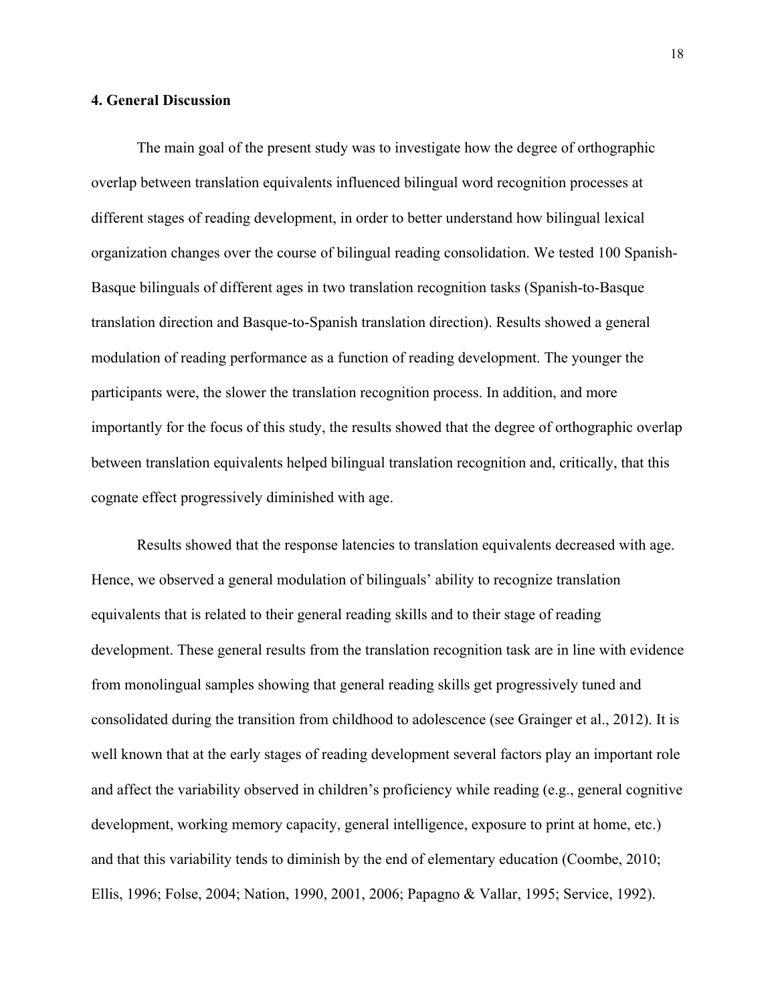#### **4. General Discussion**

The main goal of the present study was to investigate how the degree of orthographic overlap between translation equivalents influenced bilingual word recognition processes at different stages of reading development, in order to better understand how bilingual lexical organization changes over the course of bilingual reading consolidation. We tested 100 Spanish-Basque bilinguals of different ages in two translation recognition tasks (Spanish-to-Basque translation direction and Basque-to-Spanish translation direction). Results showed a general modulation of reading performance as a function of reading development. The younger the participants were, the slower the translation recognition process. In addition, and more importantly for the focus of this study, the results showed that the degree of orthographic overlap between translation equivalents helped bilingual translation recognition and, critically, that this cognate effect progressively diminished with age.

Results showed that the response latencies to translation equivalents decreased with age. Hence, we observed a general modulation of bilinguals' ability to recognize translation equivalents that is related to their general reading skills and to their stage of reading development. These general results from the translation recognition task are in line with evidence from monolingual samples showing that general reading skills get progressively tuned and consolidated during the transition from childhood to adolescence (see Grainger et al., 2012). It is well known that at the early stages of reading development several factors play an important role and affect the variability observed in children's proficiency while reading (e.g., general cognitive development, working memory capacity, general intelligence, exposure to print at home, etc.) and that this variability tends to diminish by the end of elementary education (Coombe, 2010; Ellis, 1996; Folse, 2004; Nation, 1990, 2001, 2006; Papagno & Vallar, 1995; Service, 1992).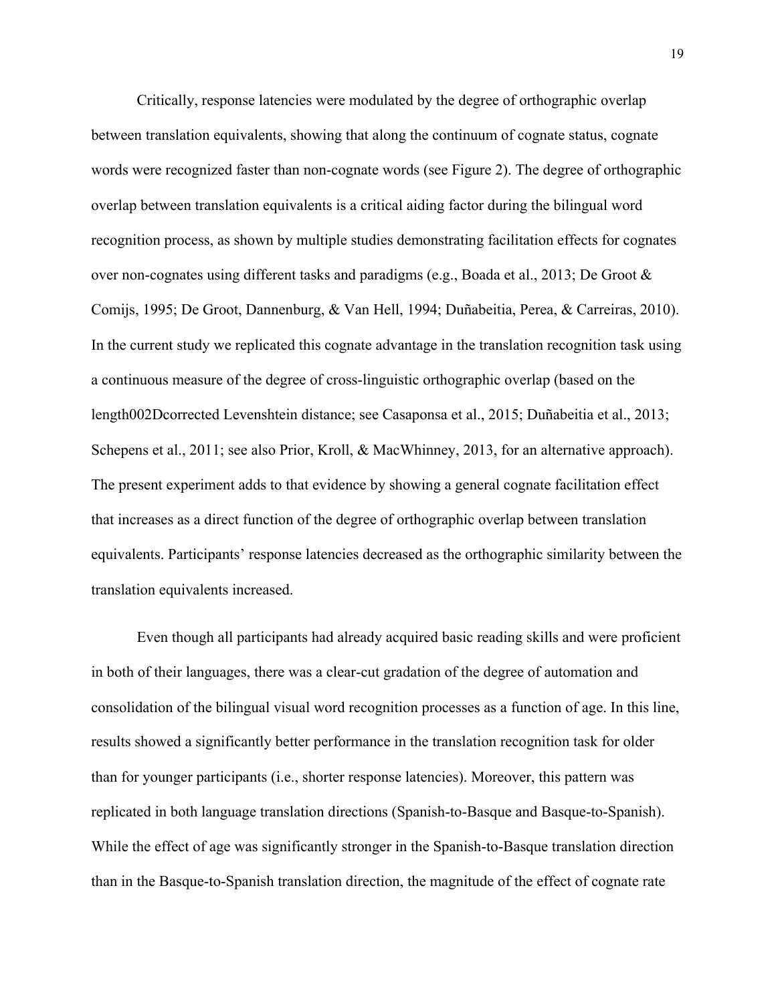Critically, response latencies were modulated by the degree of orthographic overlap between translation equivalents, showing that along the continuum of cognate status, cognate words were recognized faster than non-cognate words (see Figure 2). The degree of orthographic overlap between translation equivalents is a critical aiding factor during the bilingual word recognition process, as shown by multiple studies demonstrating facilitation effects for cognates over non-cognates using different tasks and paradigms (e.g., Boada et al., 2013; De Groot & Comijs, 1995; De Groot, Dannenburg, & Van Hell, 1994; Duñabeitia, Perea, & Carreiras, 2010). In the current study we replicated this cognate advantage in the translation recognition task using a continuous measure of the degree of cross-linguistic orthographic overlap (based on the length002Dcorrected Levenshtein distance; see Casaponsa et al., 2015; Duñabeitia et al., 2013; Schepens et al., 2011; see also Prior, Kroll, & MacWhinney, 2013, for an alternative approach). The present experiment adds to that evidence by showing a general cognate facilitation effect that increases as a direct function of the degree of orthographic overlap between translation equivalents. Participants' response latencies decreased as the orthographic similarity between the translation equivalents increased.

Even though all participants had already acquired basic reading skills and were proficient in both of their languages, there was a clear-cut gradation of the degree of automation and consolidation of the bilingual visual word recognition processes as a function of age. In this line, results showed a significantly better performance in the translation recognition task for older than for younger participants (i.e., shorter response latencies). Moreover, this pattern was replicated in both language translation directions (Spanish-to-Basque and Basque-to-Spanish). While the effect of age was significantly stronger in the Spanish-to-Basque translation direction than in the Basque-to-Spanish translation direction, the magnitude of the effect of cognate rate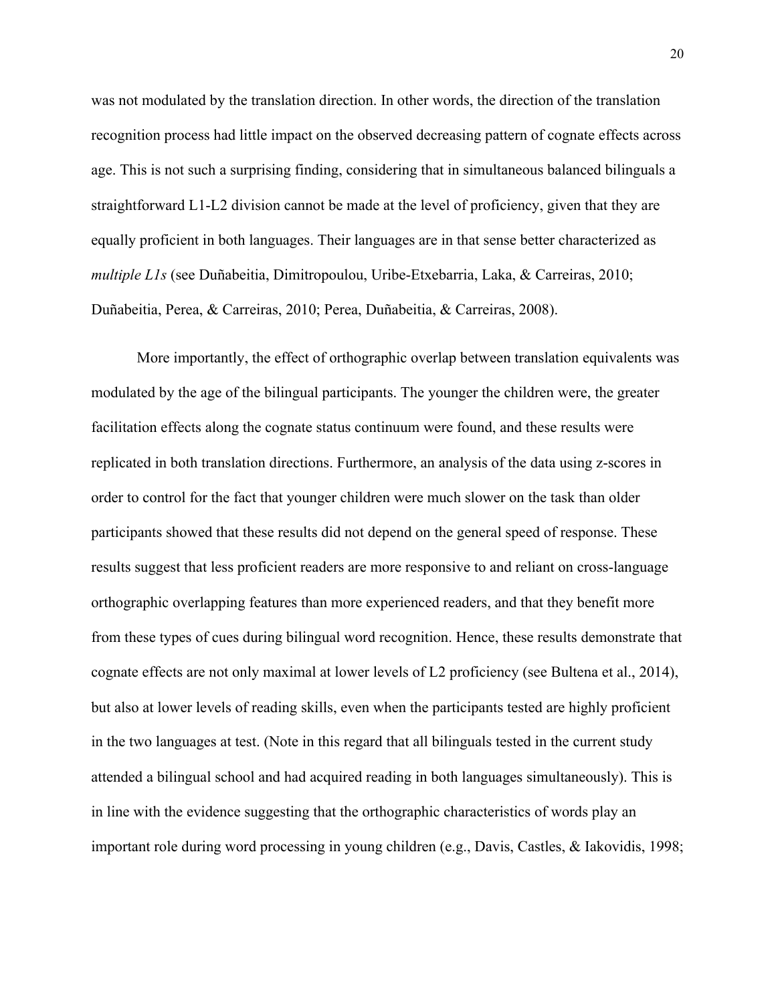was not modulated by the translation direction. In other words, the direction of the translation recognition process had little impact on the observed decreasing pattern of cognate effects across age. This is not such a surprising finding, considering that in simultaneous balanced bilinguals a straightforward L1-L2 division cannot be made at the level of proficiency, given that they are equally proficient in both languages. Their languages are in that sense better characterized as *multiple L1s* (see Duñabeitia, Dimitropoulou, Uribe-Etxebarria, Laka, & Carreiras, 2010; Duñabeitia, Perea, & Carreiras, 2010; Perea, Duñabeitia, & Carreiras, 2008).

More importantly, the effect of orthographic overlap between translation equivalents was modulated by the age of the bilingual participants. The younger the children were, the greater facilitation effects along the cognate status continuum were found, and these results were replicated in both translation directions. Furthermore, an analysis of the data using z-scores in order to control for the fact that younger children were much slower on the task than older participants showed that these results did not depend on the general speed of response. These results suggest that less proficient readers are more responsive to and reliant on cross-language orthographic overlapping features than more experienced readers, and that they benefit more from these types of cues during bilingual word recognition. Hence, these results demonstrate that cognate effects are not only maximal at lower levels of L2 proficiency (see Bultena et al., 2014), but also at lower levels of reading skills, even when the participants tested are highly proficient in the two languages at test. (Note in this regard that all bilinguals tested in the current study attended a bilingual school and had acquired reading in both languages simultaneously). This is in line with the evidence suggesting that the orthographic characteristics of words play an important role during word processing in young children (e.g., Davis, Castles, & Iakovidis, 1998;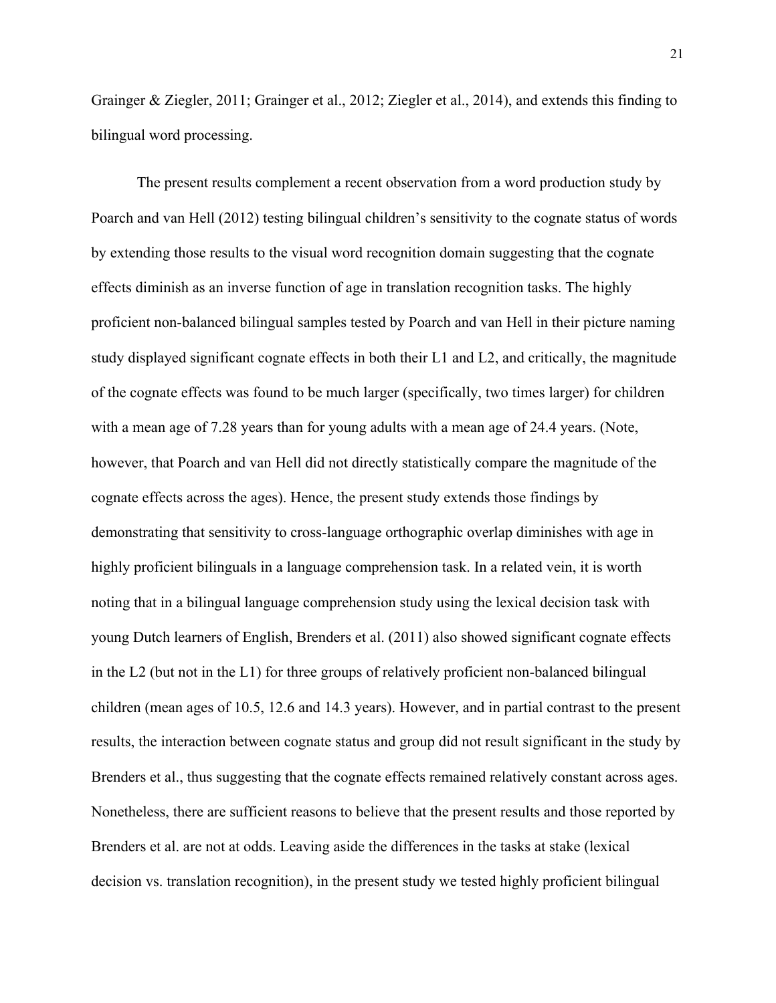Grainger & Ziegler, 2011; Grainger et al., 2012; Ziegler et al., 2014), and extends this finding to bilingual word processing.

The present results complement a recent observation from a word production study by Poarch and van Hell (2012) testing bilingual children's sensitivity to the cognate status of words by extending those results to the visual word recognition domain suggesting that the cognate effects diminish as an inverse function of age in translation recognition tasks. The highly proficient non-balanced bilingual samples tested by Poarch and van Hell in their picture naming study displayed significant cognate effects in both their L1 and L2, and critically, the magnitude of the cognate effects was found to be much larger (specifically, two times larger) for children with a mean age of 7.28 years than for young adults with a mean age of 24.4 years. (Note, however, that Poarch and van Hell did not directly statistically compare the magnitude of the cognate effects across the ages). Hence, the present study extends those findings by demonstrating that sensitivity to cross-language orthographic overlap diminishes with age in highly proficient bilinguals in a language comprehension task. In a related vein, it is worth noting that in a bilingual language comprehension study using the lexical decision task with young Dutch learners of English, Brenders et al. (2011) also showed significant cognate effects in the L2 (but not in the L1) for three groups of relatively proficient non-balanced bilingual children (mean ages of 10.5, 12.6 and 14.3 years). However, and in partial contrast to the present results, the interaction between cognate status and group did not result significant in the study by Brenders et al., thus suggesting that the cognate effects remained relatively constant across ages. Nonetheless, there are sufficient reasons to believe that the present results and those reported by Brenders et al. are not at odds. Leaving aside the differences in the tasks at stake (lexical decision vs. translation recognition), in the present study we tested highly proficient bilingual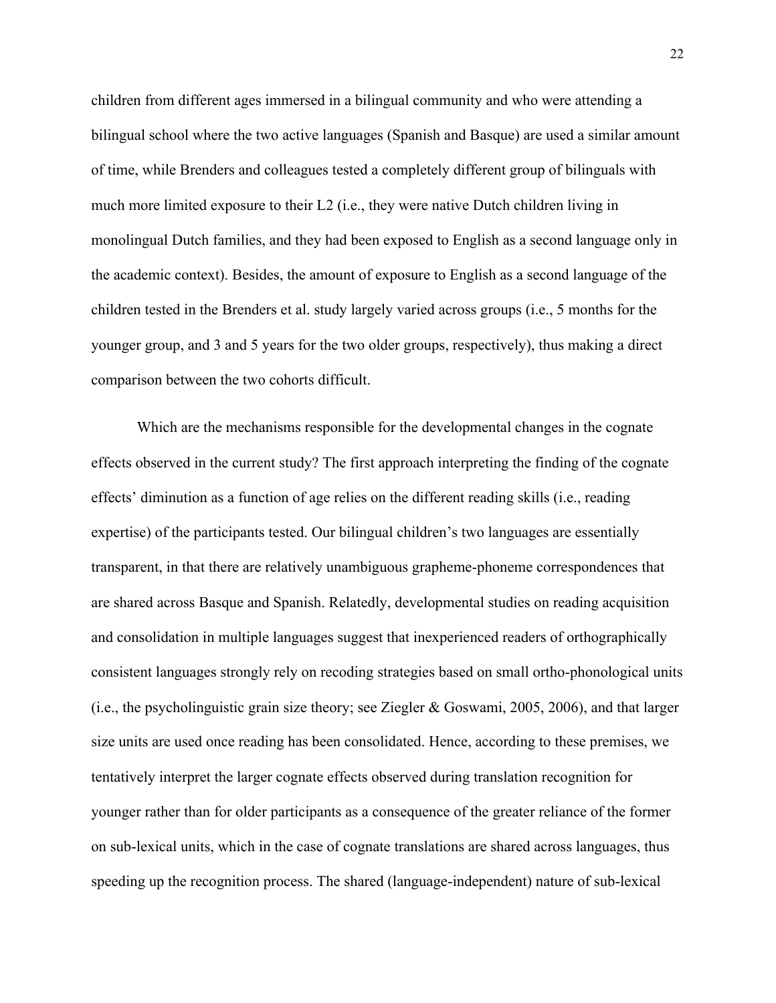children from different ages immersed in a bilingual community and who were attending a bilingual school where the two active languages (Spanish and Basque) are used a similar amount of time, while Brenders and colleagues tested a completely different group of bilinguals with much more limited exposure to their L2 (i.e., they were native Dutch children living in monolingual Dutch families, and they had been exposed to English as a second language only in the academic context). Besides, the amount of exposure to English as a second language of the children tested in the Brenders et al. study largely varied across groups (i.e., 5 months for the younger group, and 3 and 5 years for the two older groups, respectively), thus making a direct comparison between the two cohorts difficult.

Which are the mechanisms responsible for the developmental changes in the cognate effects observed in the current study? The first approach interpreting the finding of the cognate effects' diminution as a function of age relies on the different reading skills (i.e., reading expertise) of the participants tested. Our bilingual children's two languages are essentially transparent, in that there are relatively unambiguous grapheme-phoneme correspondences that are shared across Basque and Spanish. Relatedly, developmental studies on reading acquisition and consolidation in multiple languages suggest that inexperienced readers of orthographically consistent languages strongly rely on recoding strategies based on small ortho-phonological units (i.e., the psycholinguistic grain size theory; see Ziegler & Goswami, 2005, 2006), and that larger size units are used once reading has been consolidated. Hence, according to these premises, we tentatively interpret the larger cognate effects observed during translation recognition for younger rather than for older participants as a consequence of the greater reliance of the former on sub-lexical units, which in the case of cognate translations are shared across languages, thus speeding up the recognition process. The shared (language-independent) nature of sub-lexical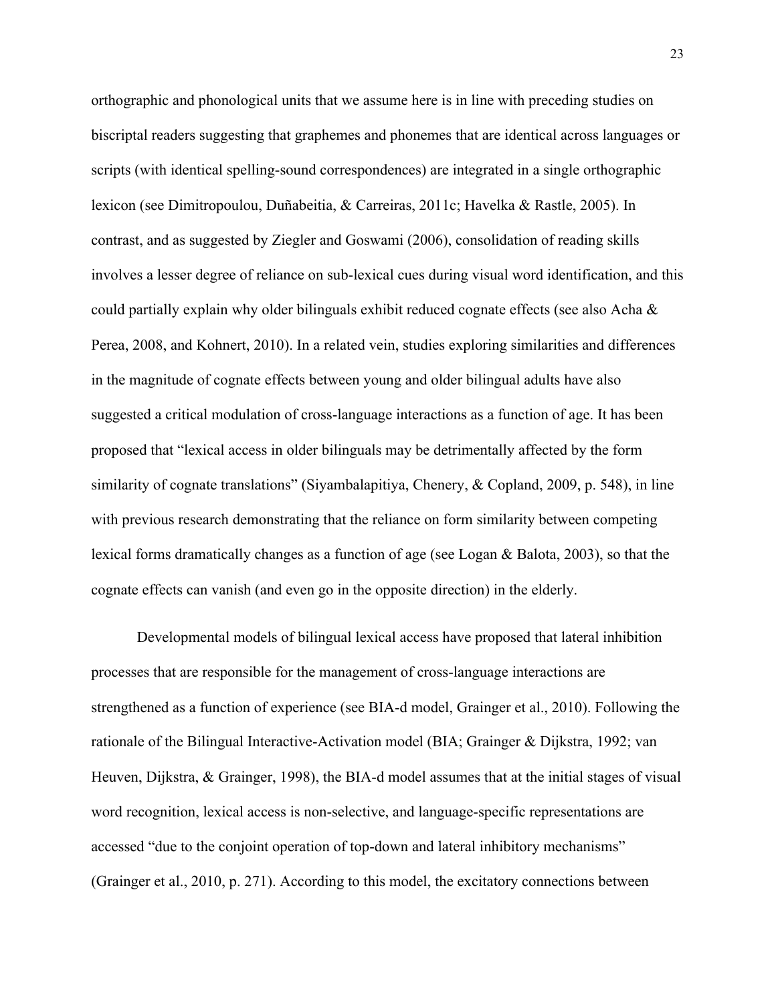orthographic and phonological units that we assume here is in line with preceding studies on biscriptal readers suggesting that graphemes and phonemes that are identical across languages or scripts (with identical spelling-sound correspondences) are integrated in a single orthographic lexicon (see Dimitropoulou, Duñabeitia, & Carreiras, 2011c; Havelka & Rastle, 2005). In contrast, and as suggested by Ziegler and Goswami (2006), consolidation of reading skills involves a lesser degree of reliance on sub-lexical cues during visual word identification, and this could partially explain why older bilinguals exhibit reduced cognate effects (see also Acha & Perea, 2008, and Kohnert, 2010). In a related vein, studies exploring similarities and differences in the magnitude of cognate effects between young and older bilingual adults have also suggested a critical modulation of cross-language interactions as a function of age. It has been proposed that "lexical access in older bilinguals may be detrimentally affected by the form similarity of cognate translations" (Siyambalapitiya, Chenery, & Copland, 2009, p. 548), in line with previous research demonstrating that the reliance on form similarity between competing lexical forms dramatically changes as a function of age (see Logan & Balota, 2003), so that the cognate effects can vanish (and even go in the opposite direction) in the elderly.

Developmental models of bilingual lexical access have proposed that lateral inhibition processes that are responsible for the management of cross-language interactions are strengthened as a function of experience (see BIA-d model, Grainger et al., 2010). Following the rationale of the Bilingual Interactive-Activation model (BIA; Grainger & Dijkstra, 1992; van Heuven, Dijkstra, & Grainger, 1998), the BIA-d model assumes that at the initial stages of visual word recognition, lexical access is non-selective, and language-specific representations are accessed "due to the conjoint operation of top-down and lateral inhibitory mechanisms" (Grainger et al., 2010, p. 271). According to this model, the excitatory connections between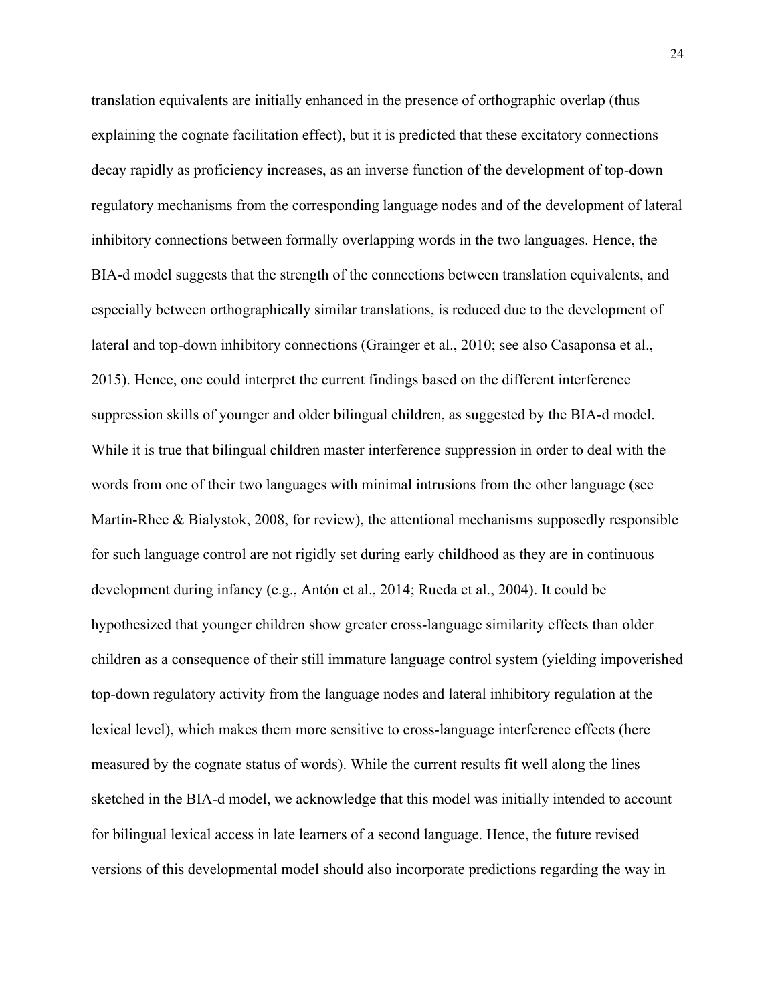translation equivalents are initially enhanced in the presence of orthographic overlap (thus explaining the cognate facilitation effect), but it is predicted that these excitatory connections decay rapidly as proficiency increases, as an inverse function of the development of top-down regulatory mechanisms from the corresponding language nodes and of the development of lateral inhibitory connections between formally overlapping words in the two languages. Hence, the BIA-d model suggests that the strength of the connections between translation equivalents, and especially between orthographically similar translations, is reduced due to the development of lateral and top-down inhibitory connections (Grainger et al., 2010; see also Casaponsa et al., 2015). Hence, one could interpret the current findings based on the different interference suppression skills of younger and older bilingual children, as suggested by the BIA-d model. While it is true that bilingual children master interference suppression in order to deal with the words from one of their two languages with minimal intrusions from the other language (see Martin-Rhee & Bialystok, 2008, for review), the attentional mechanisms supposedly responsible for such language control are not rigidly set during early childhood as they are in continuous development during infancy (e.g., Antón et al., 2014; Rueda et al., 2004). It could be hypothesized that younger children show greater cross-language similarity effects than older children as a consequence of their still immature language control system (yielding impoverished top-down regulatory activity from the language nodes and lateral inhibitory regulation at the lexical level), which makes them more sensitive to cross-language interference effects (here measured by the cognate status of words). While the current results fit well along the lines sketched in the BIA-d model, we acknowledge that this model was initially intended to account for bilingual lexical access in late learners of a second language. Hence, the future revised versions of this developmental model should also incorporate predictions regarding the way in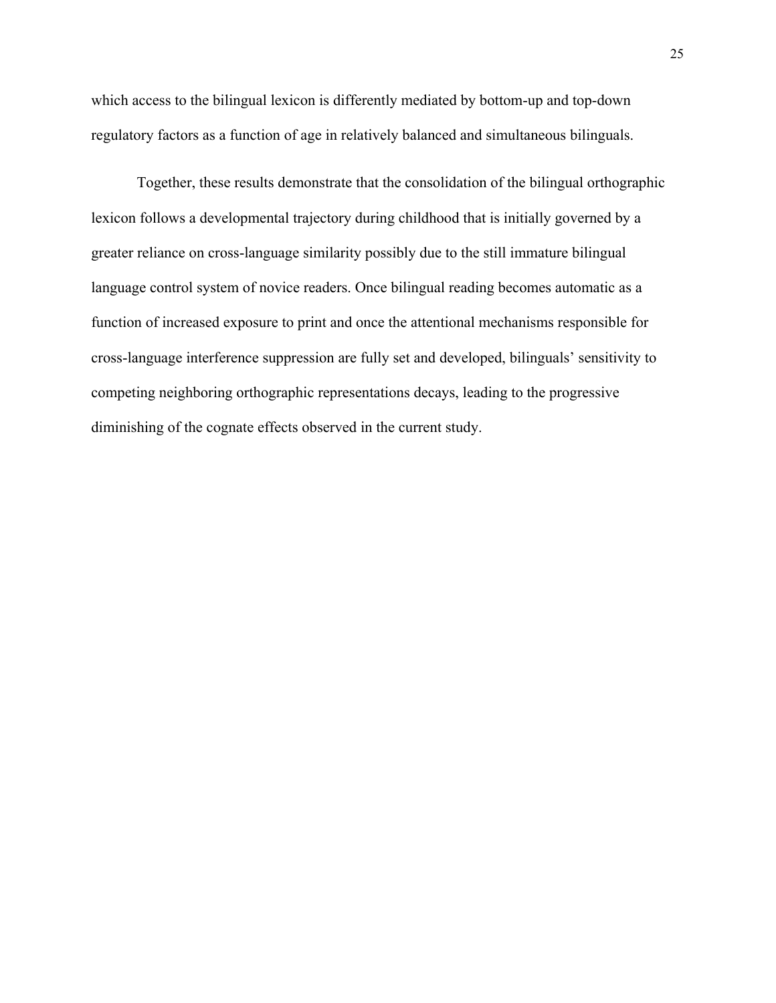which access to the bilingual lexicon is differently mediated by bottom-up and top-down regulatory factors as a function of age in relatively balanced and simultaneous bilinguals.

Together, these results demonstrate that the consolidation of the bilingual orthographic lexicon follows a developmental trajectory during childhood that is initially governed by a greater reliance on cross-language similarity possibly due to the still immature bilingual language control system of novice readers. Once bilingual reading becomes automatic as a function of increased exposure to print and once the attentional mechanisms responsible for cross-language interference suppression are fully set and developed, bilinguals' sensitivity to competing neighboring orthographic representations decays, leading to the progressive diminishing of the cognate effects observed in the current study.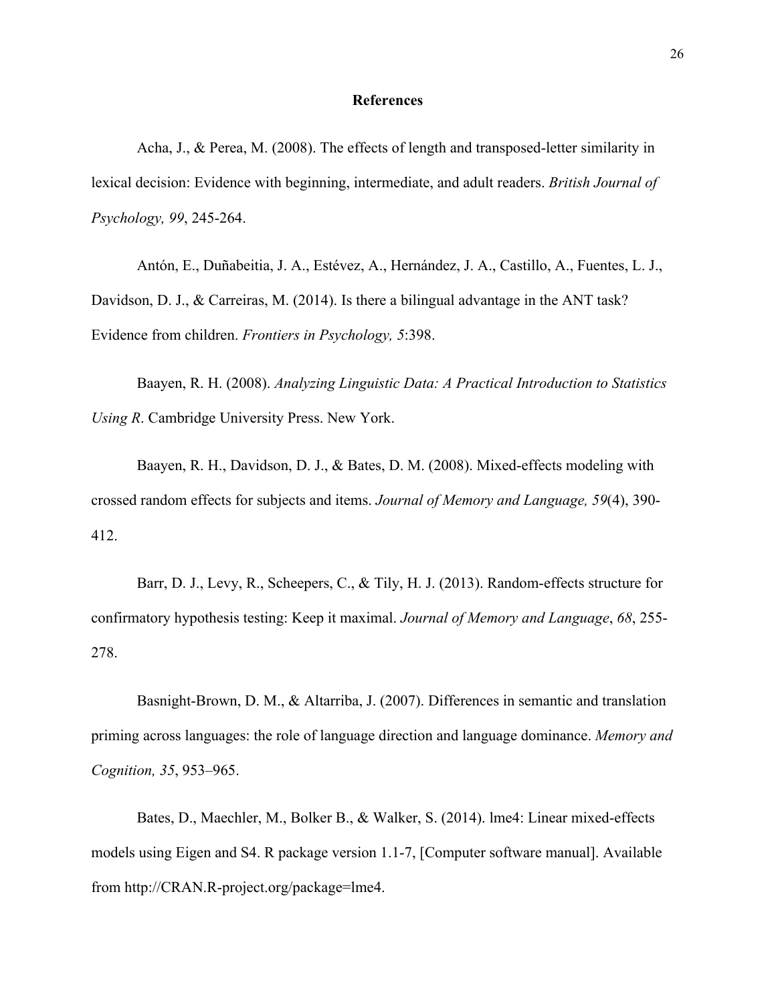#### **References**

Acha, J., & Perea, M. (2008). The effects of length and transposed-letter similarity in lexical decision: Evidence with beginning, intermediate, and adult readers. *British Journal of Psychology, 99*, 245-264.

Antón, E., Duñabeitia, J. A., Estévez, A., Hernández, J. A., Castillo, A., Fuentes, L. J., Davidson, D. J., & Carreiras, M. (2014). Is there a bilingual advantage in the ANT task? Evidence from children. *Frontiers in Psychology, 5*:398.

Baayen, R. H. (2008). *Analyzing Linguistic Data: A Practical Introduction to Statistics Using R*. Cambridge University Press. New York.

Baayen, R. H., Davidson, D. J., & Bates, D. M. (2008). Mixed-effects modeling with crossed random effects for subjects and items. *Journal of Memory and Language, 59*(4), 390- 412.

Barr, D. J., Levy, R., Scheepers, C., & Tily, H. J. (2013). Random-effects structure for confirmatory hypothesis testing: Keep it maximal. *Journal of Memory and Language*, *68*, 255- 278.

Basnight-Brown, D. M., & Altarriba, J. (2007). Differences in semantic and translation priming across languages: the role of language direction and language dominance. *Memory and Cognition, 35*, 953–965.

Bates, D., Maechler, M., Bolker B., & Walker, S. (2014). lme4: Linear mixed-effects models using Eigen and S4. R package version 1.1-7, [Computer software manual]. Available from http://CRAN.R-project.org/package=lme4.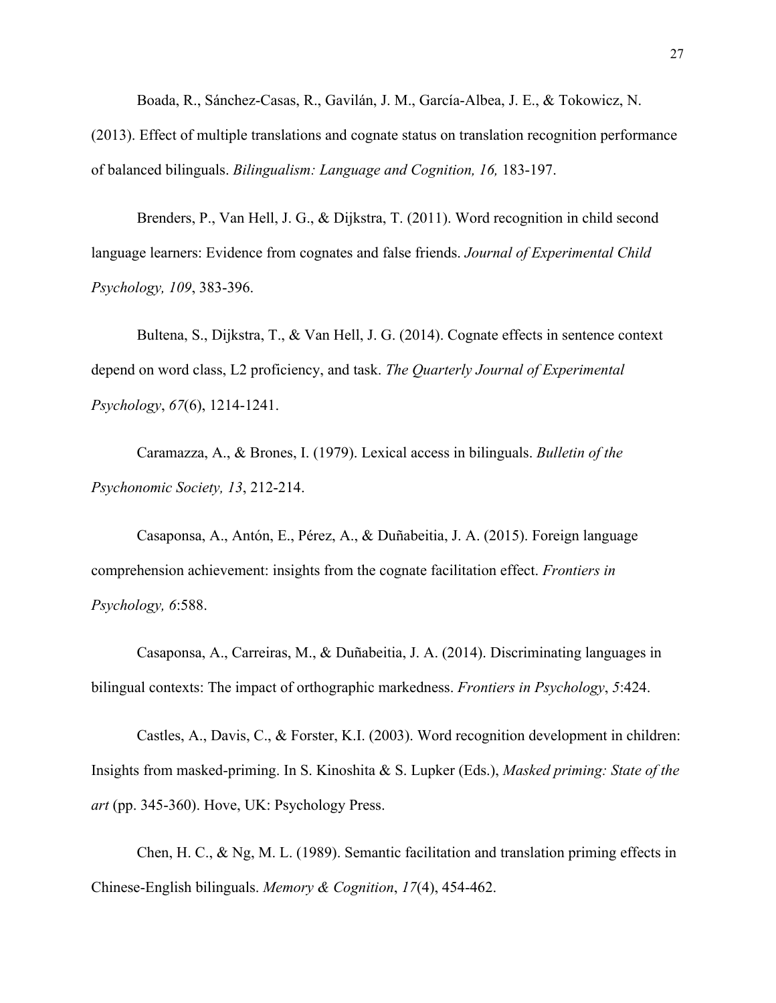Boada, R., Sánchez-Casas, R., Gavilán, J. M., García-Albea, J. E., & Tokowicz, N.

(2013). Effect of multiple translations and cognate status on translation recognition performance of balanced bilinguals. *Bilingualism: Language and Cognition, 16,* 183-197.

Brenders, P., Van Hell, J. G., & Dijkstra, T. (2011). Word recognition in child second language learners: Evidence from cognates and false friends. *Journal of Experimental Child Psychology, 109*, 383-396.

Bultena, S., Dijkstra, T., & Van Hell, J. G. (2014). Cognate effects in sentence context depend on word class, L2 proficiency, and task. *The Quarterly Journal of Experimental Psychology*, *67*(6), 1214-1241.

Caramazza, A., & Brones, I. (1979). Lexical access in bilinguals. *Bulletin of the Psychonomic Society, 13*, 212-214.

Casaponsa, A., Antón, E., Pérez, A., & Duñabeitia, J. A. (2015). Foreign language comprehension achievement: insights from the cognate facilitation effect. *Frontiers in Psychology, 6*:588.

Casaponsa, A., Carreiras, M., & Duñabeitia, J. A. (2014). Discriminating languages in bilingual contexts: The impact of orthographic markedness. *Frontiers in Psychology*, *5*:424.

Castles, A., Davis, C., & Forster, K.I. (2003). Word recognition development in children: Insights from masked-priming. In S. Kinoshita & S. Lupker (Eds.), *Masked priming: State of the art* (pp. 345-360). Hove, UK: Psychology Press.

Chen, H. C., & Ng, M. L. (1989). Semantic facilitation and translation priming effects in Chinese-English bilinguals. *Memory & Cognition*, *17*(4), 454-462.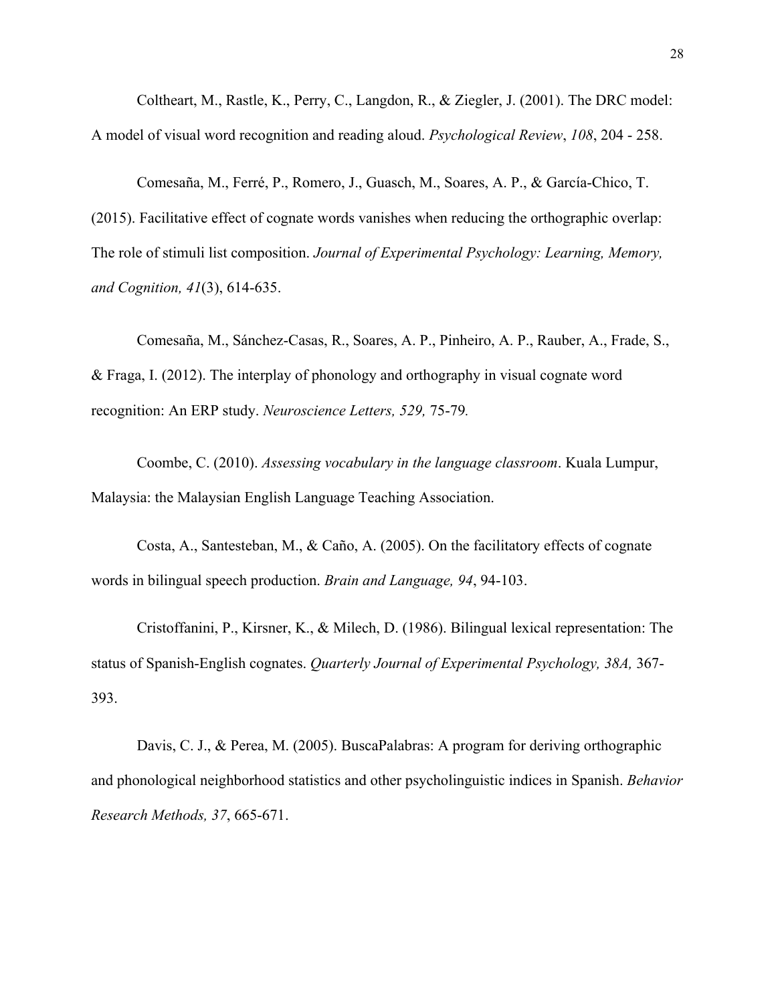Coltheart, M., Rastle, K., Perry, C., Langdon, R., & Ziegler, J. (2001). The DRC model: A model of visual word recognition and reading aloud. *Psychological Review*, *108*, 204 - 258.

Comesaña, M., Ferré, P., Romero, J., Guasch, M., Soares, A. P., & García-Chico, T. (2015). Facilitative effect of cognate words vanishes when reducing the orthographic overlap: The role of stimuli list composition. *Journal of Experimental Psychology: Learning, Memory, and Cognition, 41*(3), 614-635.

Comesaña, M., Sánchez-Casas, R., Soares, A. P., Pinheiro, A. P., Rauber, A., Frade, S., & Fraga, I. (2012). The interplay of phonology and orthography in visual cognate word recognition: An ERP study. *Neuroscience Letters, 529,* 75-79*.*

Coombe, C. (2010). *Assessing vocabulary in the language classroom*. Kuala Lumpur, Malaysia: the Malaysian English Language Teaching Association.

Costa, A., Santesteban, M., & Caño, A. (2005). On the facilitatory effects of cognate words in bilingual speech production. *Brain and Language, 94*, 94-103.

Cristoffanini, P., Kirsner, K., & Milech, D. (1986). Bilingual lexical representation: The status of Spanish-English cognates. *Quarterly Journal of Experimental Psychology, 38A,* 367- 393.

Davis, C. J., & Perea, M. (2005). BuscaPalabras: A program for deriving orthographic and phonological neighborhood statistics and other psycholinguistic indices in Spanish. *Behavior Research Methods, 37*, 665-671.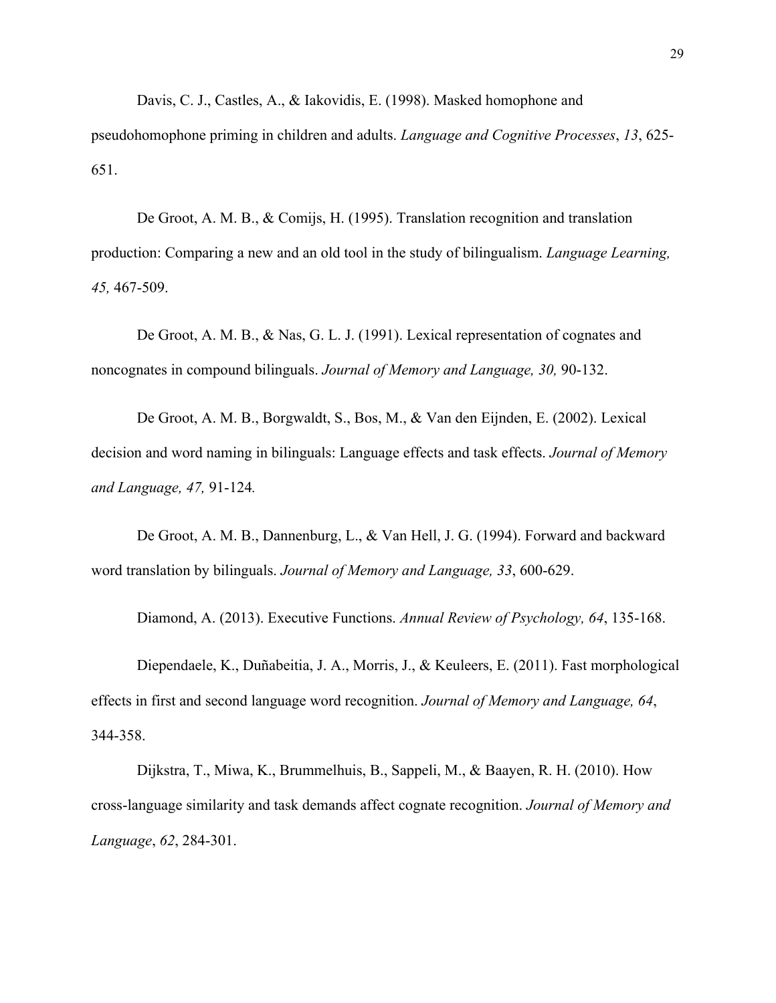Davis, C. J., Castles, A., & Iakovidis, E. (1998). Masked homophone and pseudohomophone priming in children and adults. *Language and Cognitive Processes*, *13*, 625- 651.

De Groot, A. M. B., & Comijs, H. (1995). Translation recognition and translation production: Comparing a new and an old tool in the study of bilingualism. *Language Learning, 45,* 467-509.

De Groot, A. M. B., & Nas, G. L. J. (1991). Lexical representation of cognates and noncognates in compound bilinguals. *Journal of Memory and Language, 30,* 90-132.

De Groot, A. M. B., Borgwaldt, S., Bos, M., & Van den Eijnden, E. (2002). Lexical decision and word naming in bilinguals: Language effects and task effects. *Journal of Memory and Language, 47,* 91-124*.*

De Groot, A. M. B., Dannenburg, L., & Van Hell, J. G. (1994). Forward and backward word translation by bilinguals. *Journal of Memory and Language, 33*, 600-629.

Diamond, A. (2013). Executive Functions. *Annual Review of Psychology, 64*, 135-168.

Diependaele, K., Duñabeitia, J. A., Morris, J., & Keuleers, E. (2011). Fast morphological effects in first and second language word recognition. *Journal of Memory and Language, 64*, 344-358.

Dijkstra, T., Miwa, K., Brummelhuis, B., Sappeli, M., & Baayen, R. H. (2010). How cross-language similarity and task demands affect cognate recognition. *Journal of Memory and Language*, *62*, 284-301.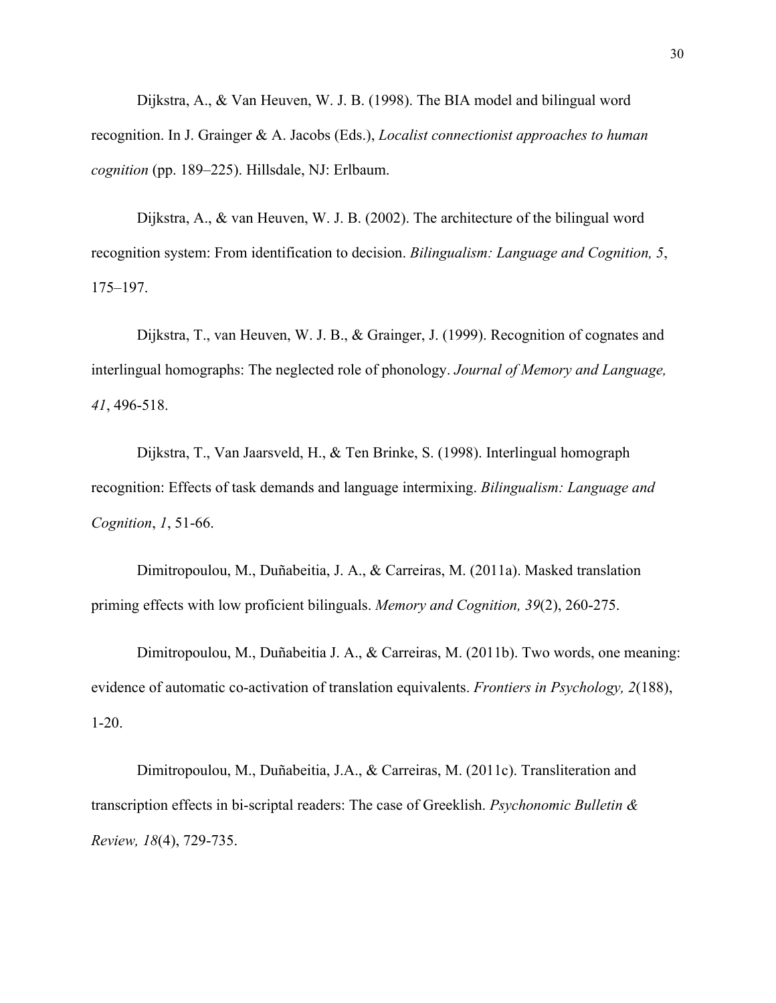Dijkstra, A., & Van Heuven, W. J. B. (1998). The BIA model and bilingual word recognition. In J. Grainger & A. Jacobs (Eds.), *Localist connectionist approaches to human cognition* (pp. 189–225). Hillsdale, NJ: Erlbaum.

Dijkstra, A., & van Heuven, W. J. B. (2002). The architecture of the bilingual word recognition system: From identification to decision. *Bilingualism: Language and Cognition, 5*, 175–197.

Dijkstra, T., van Heuven, W. J. B., & Grainger, J. (1999). Recognition of cognates and interlingual homographs: The neglected role of phonology. *Journal of Memory and Language, 41*, 496-518.

Dijkstra, T., Van Jaarsveld, H., & Ten Brinke, S. (1998). Interlingual homograph recognition: Effects of task demands and language intermixing. *Bilingualism: Language and Cognition*, *1*, 51-66.

Dimitropoulou, M., Duñabeitia, J. A., & Carreiras, M. (2011a). Masked translation priming effects with low proficient bilinguals. *Memory and Cognition, 39*(2), 260-275.

Dimitropoulou, M., Duñabeitia J. A., & Carreiras, M. (2011b). Two words, one meaning: evidence of automatic co-activation of translation equivalents. *Frontiers in Psychology, 2*(188), 1-20.

Dimitropoulou, M., Duñabeitia, J.A., & Carreiras, M. (2011c). Transliteration and transcription effects in bi-scriptal readers: The case of Greeklish. *Psychonomic Bulletin & Review, 18*(4), 729-735.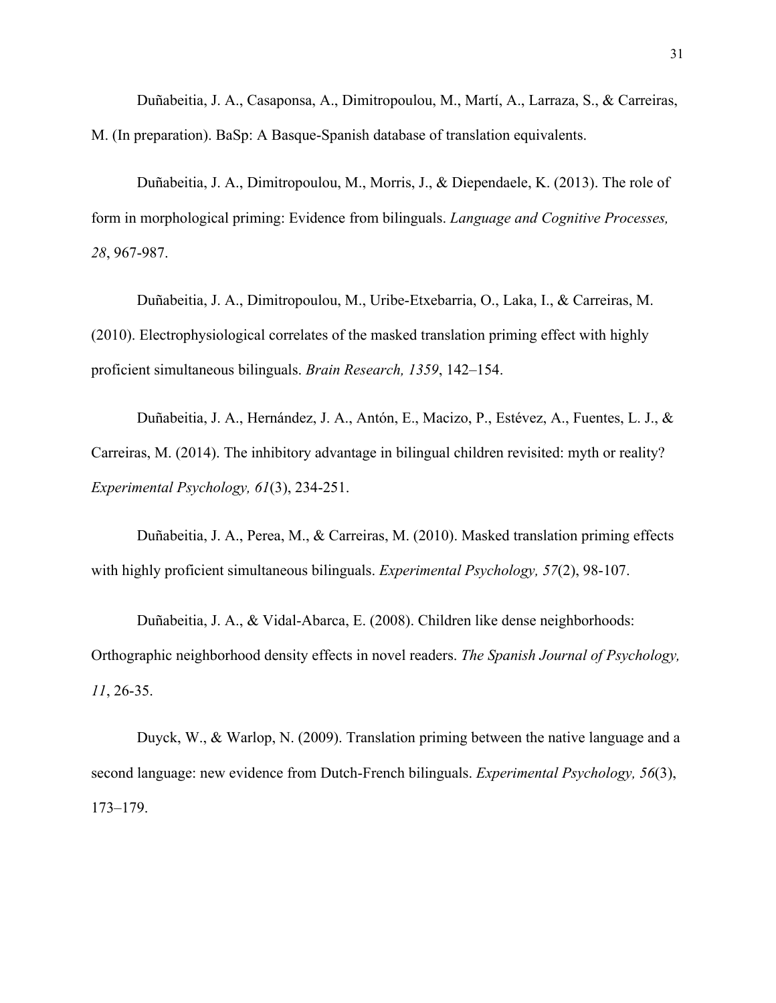Duñabeitia, J. A., Casaponsa, A., Dimitropoulou, M., Martí, A., Larraza, S., & Carreiras, M. (In preparation). BaSp: A Basque-Spanish database of translation equivalents.

Duñabeitia, J. A., Dimitropoulou, M., Morris, J., & Diependaele, K. (2013). The role of form in morphological priming: Evidence from bilinguals. *Language and Cognitive Processes, 28*, 967-987.

Duñabeitia, J. A., Dimitropoulou, M., Uribe-Etxebarria, O., Laka, I., & Carreiras, M. (2010). Electrophysiological correlates of the masked translation priming effect with highly proficient simultaneous bilinguals. *Brain Research, 1359*, 142–154.

Duñabeitia, J. A., Hernández, J. A., Antón, E., Macizo, P., Estévez, A., Fuentes, L. J., & Carreiras, M. (2014). The inhibitory advantage in bilingual children revisited: myth or reality? *Experimental Psychology, 61*(3), 234-251.

Duñabeitia, J. A., Perea, M., & Carreiras, M. (2010). Masked translation priming effects with highly proficient simultaneous bilinguals. *Experimental Psychology, 57*(2), 98-107.

Duñabeitia, J. A., & Vidal-Abarca, E. (2008). Children like dense neighborhoods: Orthographic neighborhood density effects in novel readers. *The Spanish Journal of Psychology, 11*, 26-35.

Duyck, W., & Warlop, N. (2009). Translation priming between the native language and a second language: new evidence from Dutch-French bilinguals. *Experimental Psychology, 56*(3), 173–179.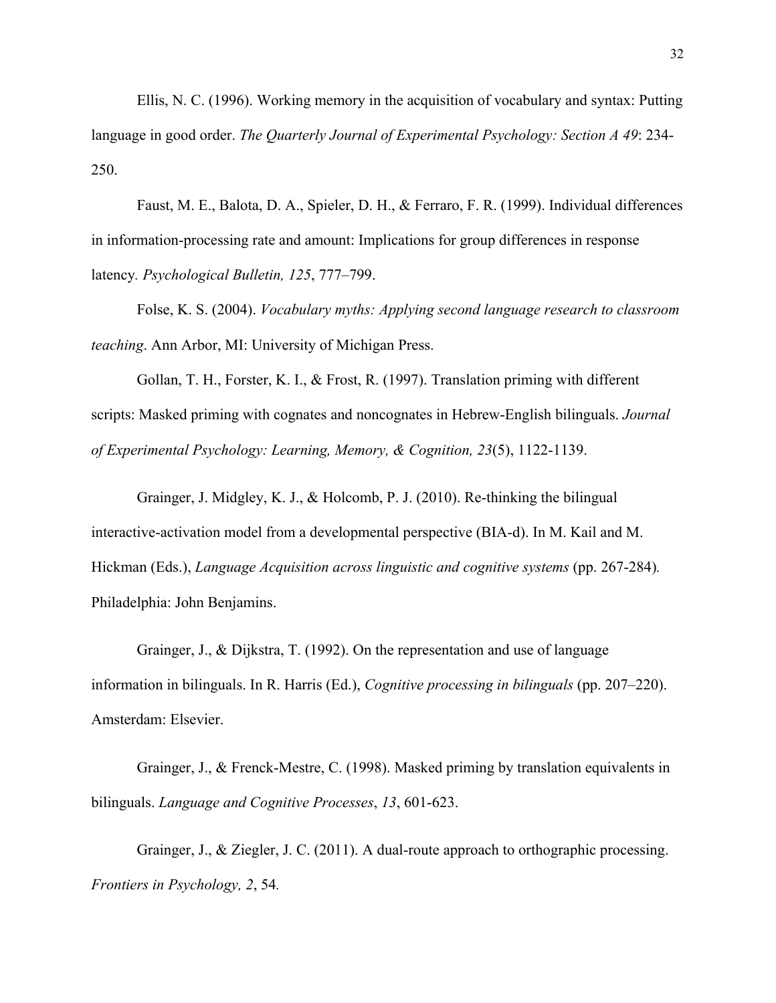Ellis, N. C. (1996). Working memory in the acquisition of vocabulary and syntax: Putting language in good order. *The Quarterly Journal of Experimental Psychology: Section A 49*: 234- 250.

Faust, M. E., Balota, D. A., Spieler, D. H., & Ferraro, F. R. (1999). Individual differences in information-processing rate and amount: Implications for group differences in response latency*. Psychological Bulletin, 125*, 777–799.

Folse, K. S. (2004). *Vocabulary myths: Applying second language research to classroom teaching*. Ann Arbor, MI: University of Michigan Press.

Gollan, T. H., Forster, K. I., & Frost, R. (1997). Translation priming with different scripts: Masked priming with cognates and noncognates in Hebrew-English bilinguals. *Journal of Experimental Psychology: Learning, Memory, & Cognition, 23*(5), 1122-1139.

Grainger, J. Midgley, K. J., & Holcomb, P. J. (2010). Re-thinking the bilingual interactive-activation model from a developmental perspective (BIA-d). In M. Kail and M. Hickman (Eds.), *Language Acquisition across linguistic and cognitive systems* (pp. 267-284)*.* Philadelphia: John Benjamins.

Grainger, J., & Dijkstra, T. (1992). On the representation and use of language information in bilinguals. In R. Harris (Ed.), *Cognitive processing in bilinguals* (pp. 207–220). Amsterdam: Elsevier.

Grainger, J., & Frenck-Mestre, C. (1998). Masked priming by translation equivalents in bilinguals. *Language and Cognitive Processes*, *13*, 601-623.

Grainger, J., & Ziegler, J. C. (2011). A dual-route approach to orthographic processing. *Frontiers in Psychology, 2*, 54*.*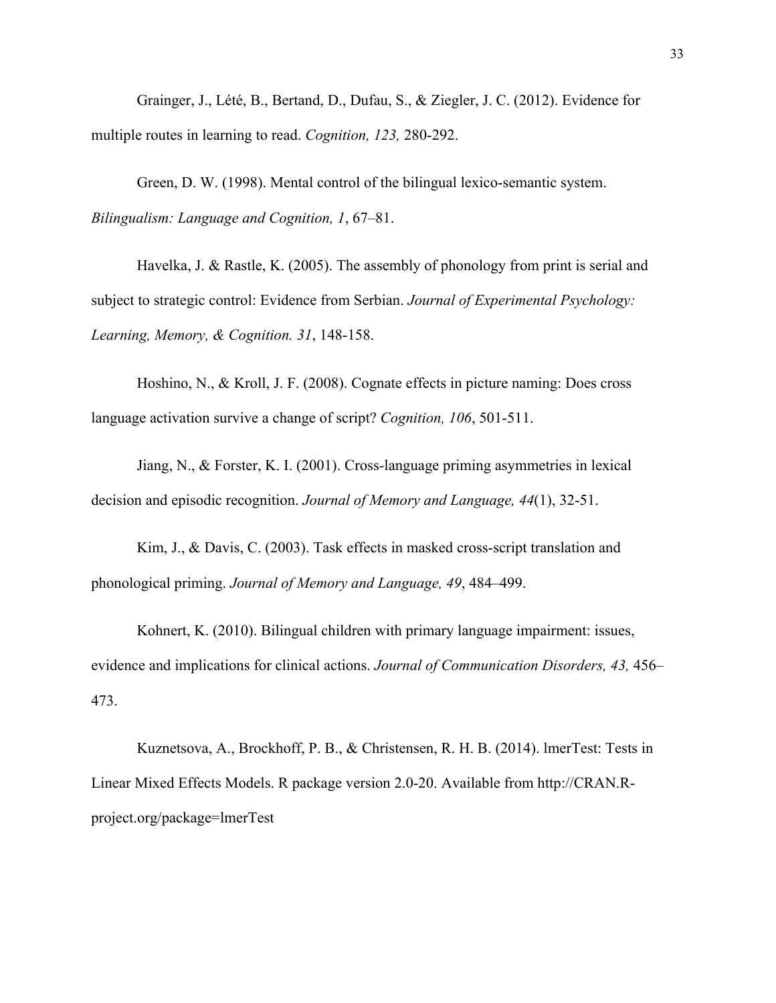Grainger, J., Lété, B., Bertand, D., Dufau, S., & Ziegler, J. C. (2012). Evidence for multiple routes in learning to read. *Cognition, 123,* 280-292.

Green, D. W. (1998). Mental control of the bilingual lexico-semantic system. *Bilingualism: Language and Cognition, 1*, 67–81.

Havelka, J. & Rastle, K. (2005). The assembly of phonology from print is serial and subject to strategic control: Evidence from Serbian. *Journal of Experimental Psychology: Learning, Memory, & Cognition. 31*, 148-158.

Hoshino, N., & Kroll, J. F. (2008). Cognate effects in picture naming: Does cross language activation survive a change of script? *Cognition, 106*, 501-511.

Jiang, N., & Forster, K. I. (2001). Cross-language priming asymmetries in lexical decision and episodic recognition. *Journal of Memory and Language, 44*(1), 32-51.

Kim, J., & Davis, C. (2003). Task effects in masked cross-script translation and phonological priming. *Journal of Memory and Language, 49*, 484–499.

Kohnert, K. (2010). Bilingual children with primary language impairment: issues, evidence and implications for clinical actions. *Journal of Communication Disorders, 43,* 456– 473.

Kuznetsova, A., Brockhoff, P. B., & Christensen, R. H. B. (2014). lmerTest: Tests in Linear Mixed Effects Models. R package version 2.0-20. Available from http://CRAN.Rproject.org/package=lmerTest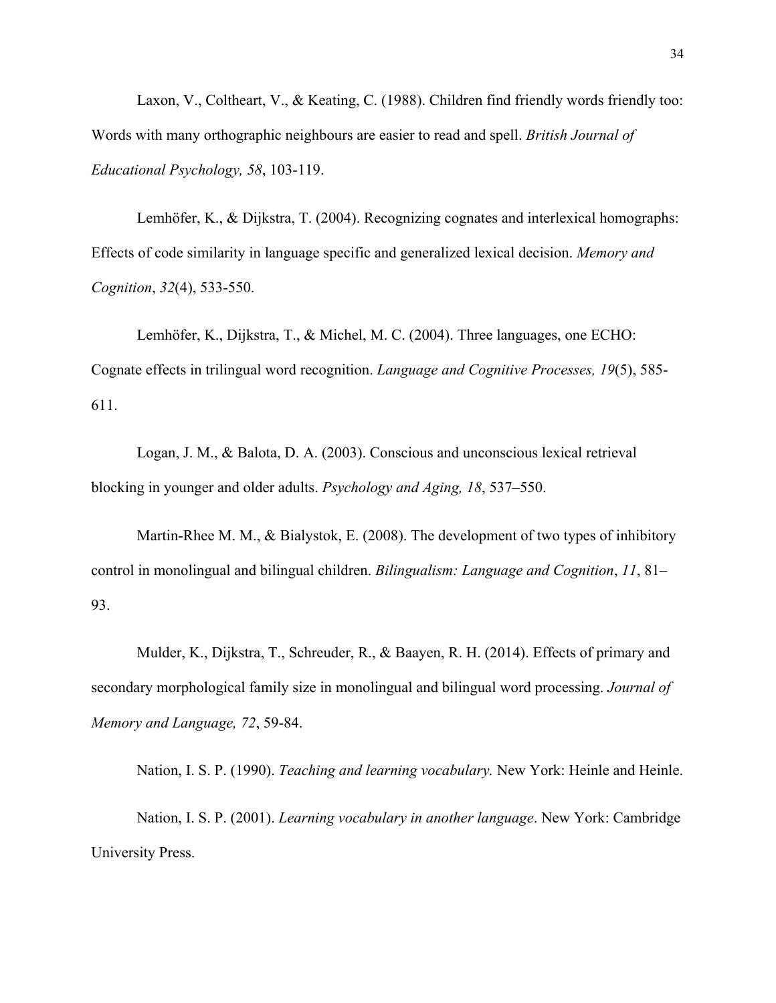Laxon, V., Coltheart, V., & Keating, C. (1988). Children find friendly words friendly too: Words with many orthographic neighbours are easier to read and spell. *British Journal of Educational Psychology, 58*, 103-119.

Lemhöfer, K., & Dijkstra, T. (2004). Recognizing cognates and interlexical homographs: Effects of code similarity in language specific and generalized lexical decision. *Memory and Cognition*, *32*(4), 533-550.

Lemhöfer, K., Dijkstra, T., & Michel, M. C. (2004). Three languages, one ECHO: Cognate effects in trilingual word recognition. *Language and Cognitive Processes, 19*(5), 585- 611.

Logan, J. M., & Balota, D. A. (2003). Conscious and unconscious lexical retrieval blocking in younger and older adults. *Psychology and Aging, 18*, 537–550.

Martin-Rhee M. M., & Bialystok, E. (2008). The development of two types of inhibitory control in monolingual and bilingual children. *Bilingualism: Language and Cognition*, *11*, 81– 93.

Mulder, K., Dijkstra, T., Schreuder, R., & Baayen, R. H. (2014). Effects of primary and secondary morphological family size in monolingual and bilingual word processing. *Journal of Memory and Language, 72*, 59-84.

Nation, I. S. P. (1990). *Teaching and learning vocabulary.* New York: Heinle and Heinle.

Nation, I. S. P. (2001). *Learning vocabulary in another language*. New York: Cambridge University Press.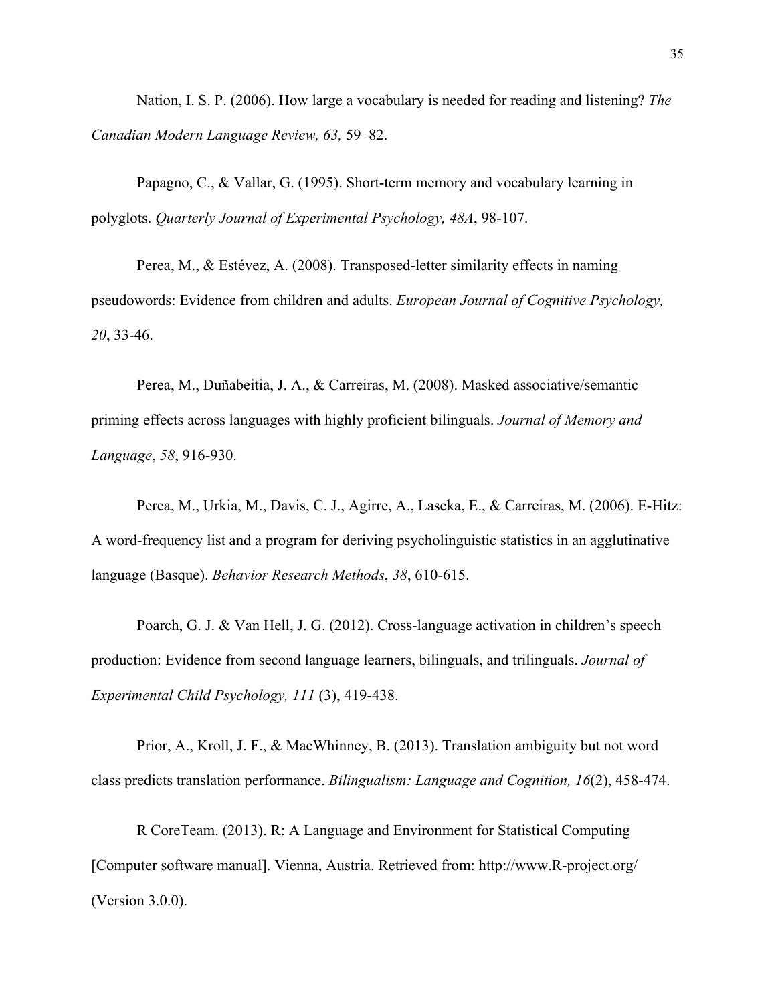Nation, I. S. P. (2006). How large a vocabulary is needed for reading and listening? *The Canadian Modern Language Review, 63,* 59–82.

Papagno, C., & Vallar, G. (1995). Short-term memory and vocabulary learning in polyglots. *Quarterly Journal of Experimental Psychology, 48A*, 98-107.

Perea, M., & Estévez, A. (2008). Transposed-letter similarity effects in naming pseudowords: Evidence from children and adults. *European Journal of Cognitive Psychology, 20*, 33-46.

Perea, M., Duñabeitia, J. A., & Carreiras, M. (2008). Masked associative/semantic priming effects across languages with highly proficient bilinguals. *Journal of Memory and Language*, *58*, 916-930.

Perea, M., Urkia, M., Davis, C. J., Agirre, A., Laseka, E., & Carreiras, M. (2006). E-Hitz: A word-frequency list and a program for deriving psycholinguistic statistics in an agglutinative language (Basque). *Behavior Research Methods*, *38*, 610-615.

Poarch, G. J. & Van Hell, J. G. (2012). Cross-language activation in children's speech production: Evidence from second language learners, bilinguals, and trilinguals. *Journal of Experimental Child Psychology, 111* (3), 419-438.

Prior, A., Kroll, J. F., & MacWhinney, B. (2013). Translation ambiguity but not word class predicts translation performance. *Bilingualism: Language and Cognition, 16*(2), 458-474.

R CoreTeam. (2013). R: A Language and Environment for Statistical Computing [Computer software manual]. Vienna, Austria. Retrieved from: http://www.R-project.org/ (Version 3.0.0).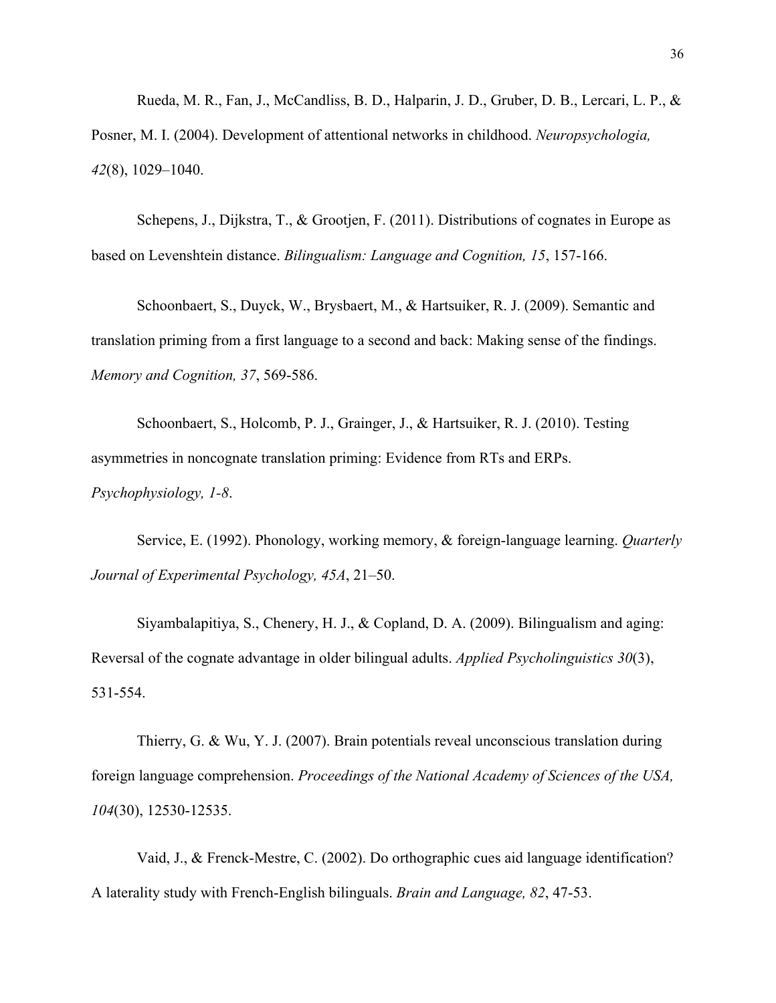Rueda, M. R., Fan, J., McCandliss, B. D., Halparin, J. D., Gruber, D. B., Lercari, L. P., & Posner, M. I. (2004). Development of attentional networks in childhood. *Neuropsychologia, 42*(8), 1029–1040.

Schepens, J., Dijkstra, T., & Grootjen, F. (2011). Distributions of cognates in Europe as based on Levenshtein distance. *Bilingualism: Language and Cognition, 15*, 157-166.

Schoonbaert, S., Duyck, W., Brysbaert, M., & Hartsuiker, R. J. (2009). Semantic and translation priming from a first language to a second and back: Making sense of the findings. *Memory and Cognition, 37*, 569-586.

Schoonbaert, S., Holcomb, P. J., Grainger, J., & Hartsuiker, R. J. (2010). Testing asymmetries in noncognate translation priming: Evidence from RTs and ERPs. *Psychophysiology, 1-8*.

Service, E. (1992). Phonology, working memory, & foreign-language learning. *Quarterly Journal of Experimental Psychology, 45A*, 21–50.

Siyambalapitiya, S., Chenery, H. J., & Copland, D. A. (2009). Bilingualism and aging: Reversal of the cognate advantage in older bilingual adults. *Applied Psycholinguistics 30*(3), 531-554.

Thierry, G. & Wu, Y. J. (2007). Brain potentials reveal unconscious translation during foreign language comprehension. *Proceedings of the National Academy of Sciences of the USA, 104*(30), 12530-12535.

Vaid, J., & Frenck-Mestre, C. (2002). Do orthographic cues aid language identification? A laterality study with French-English bilinguals. *Brain and Language, 82*, 47-53.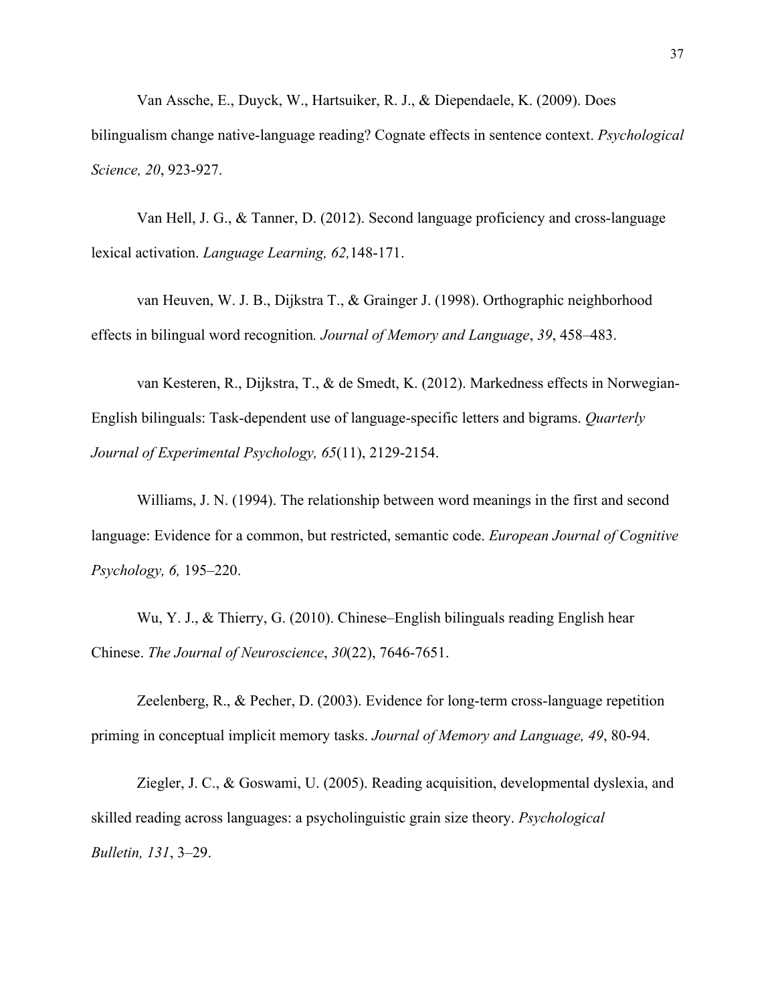Van Assche, E., Duyck, W., Hartsuiker, R. J., & Diependaele, K. (2009). Does bilingualism change native-language reading? Cognate effects in sentence context. *Psychological Science, 20*, 923-927.

Van Hell, J. G., & Tanner, D. (2012). Second language proficiency and cross-language lexical activation. *Language Learning, 62,*148-171.

van Heuven, W. J. B., Dijkstra T., & Grainger J. (1998). Orthographic neighborhood effects in bilingual word recognition*. Journal of Memory and Language*, *39*, 458–483.

van Kesteren, R., Dijkstra, T., & de Smedt, K. (2012). Markedness effects in Norwegian-English bilinguals: Task-dependent use of language-specific letters and bigrams. *Quarterly Journal of Experimental Psychology, 65*(11), 2129-2154.

Williams, J. N. (1994). The relationship between word meanings in the first and second language: Evidence for a common, but restricted, semantic code. *European Journal of Cognitive Psychology, 6,* 195–220.

Wu, Y. J., & Thierry, G. (2010). Chinese–English bilinguals reading English hear Chinese. *The Journal of Neuroscience*, *30*(22), 7646-7651.

Zeelenberg, R., & Pecher, D. (2003). Evidence for long-term cross-language repetition priming in conceptual implicit memory tasks. *Journal of Memory and Language, 49*, 80-94.

Ziegler, J. C., & Goswami, U. (2005). Reading acquisition, developmental dyslexia, and skilled reading across languages: a psycholinguistic grain size theory. *Psychological Bulletin, 131*, 3–29.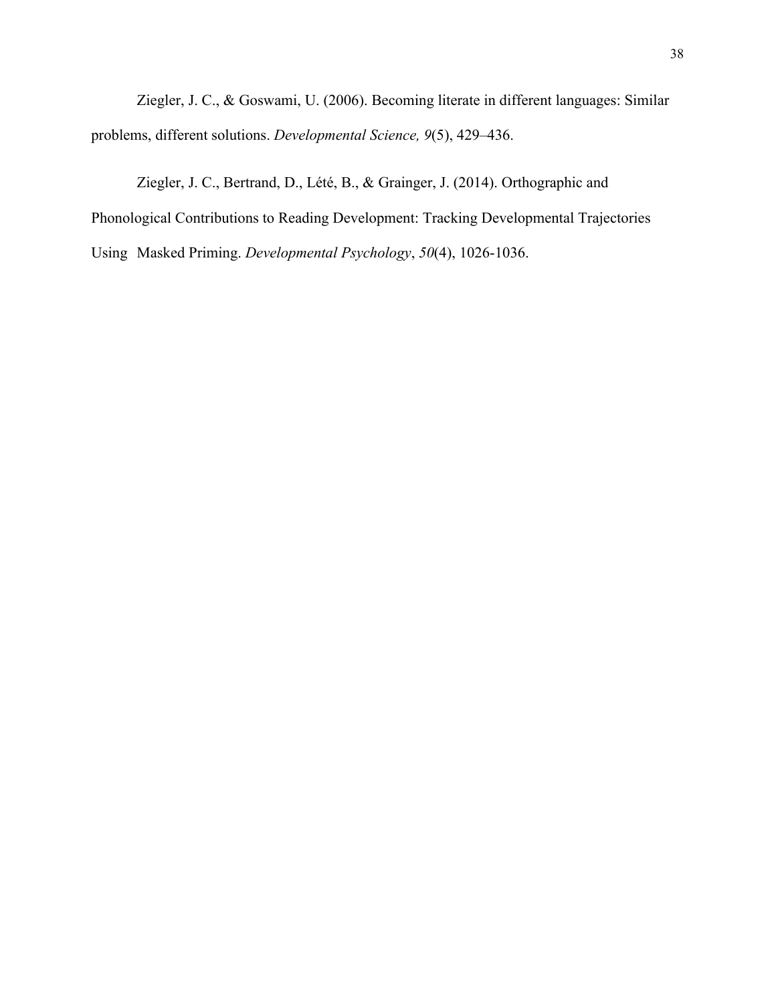Ziegler, J. C., & Goswami, U. (2006). Becoming literate in different languages: Similar problems, different solutions. *Developmental Science, 9*(5), 429–436.

Ziegler, J. C., Bertrand, D., Lété, B., & Grainger, J. (2014). Orthographic and Phonological Contributions to Reading Development: Tracking Developmental Trajectories Using Masked Priming. *Developmental Psychology*, *50*(4), 1026-1036.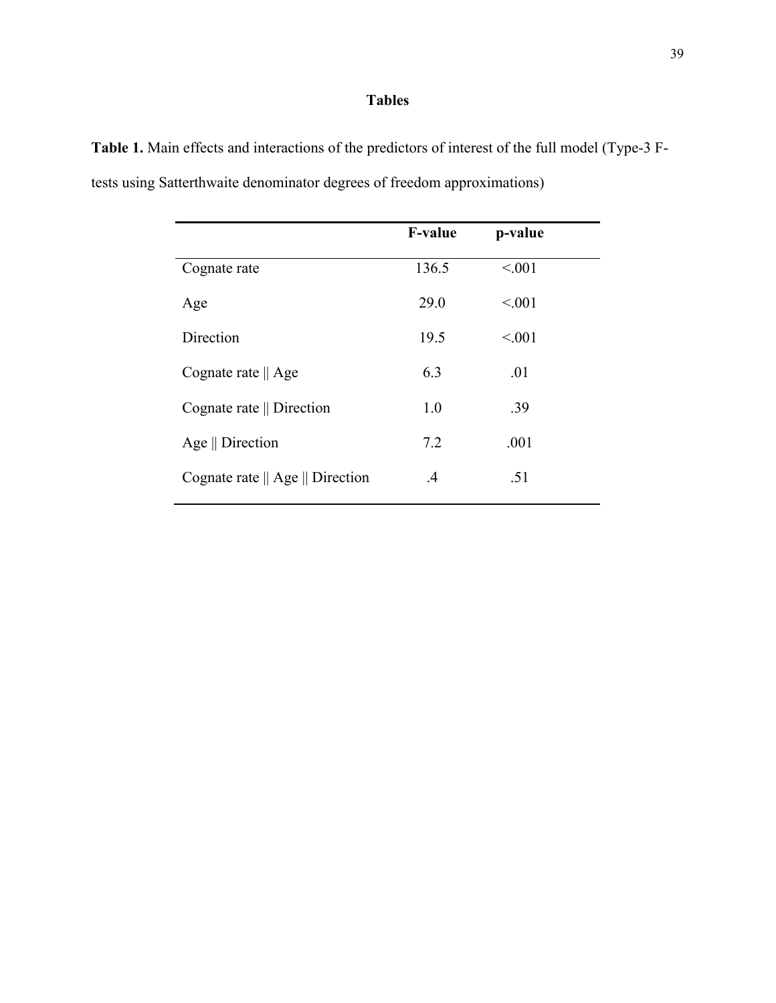### **Tables**

|                                                    | <b>F-value</b> | p-value |
|----------------------------------------------------|----------------|---------|
| Cognate rate                                       | 136.5          | < 0.01  |
| Age                                                | 29.0           | < 0.01  |
| Direction                                          | 19.5           | < 0.01  |
| Cognate rate $\parallel$ Age                       | 6.3            | .01     |
| Cognate rate    Direction                          | 1.0            | .39     |
| Age $\parallel$ Direction                          | 7.2            | .001    |
| Cognate rate $\parallel$ Age $\parallel$ Direction | $\cdot$        | .51     |

**Table 1.** Main effects and interactions of the predictors of interest of the full model (Type-3 Ftests using Satterthwaite denominator degrees of freedom approximations)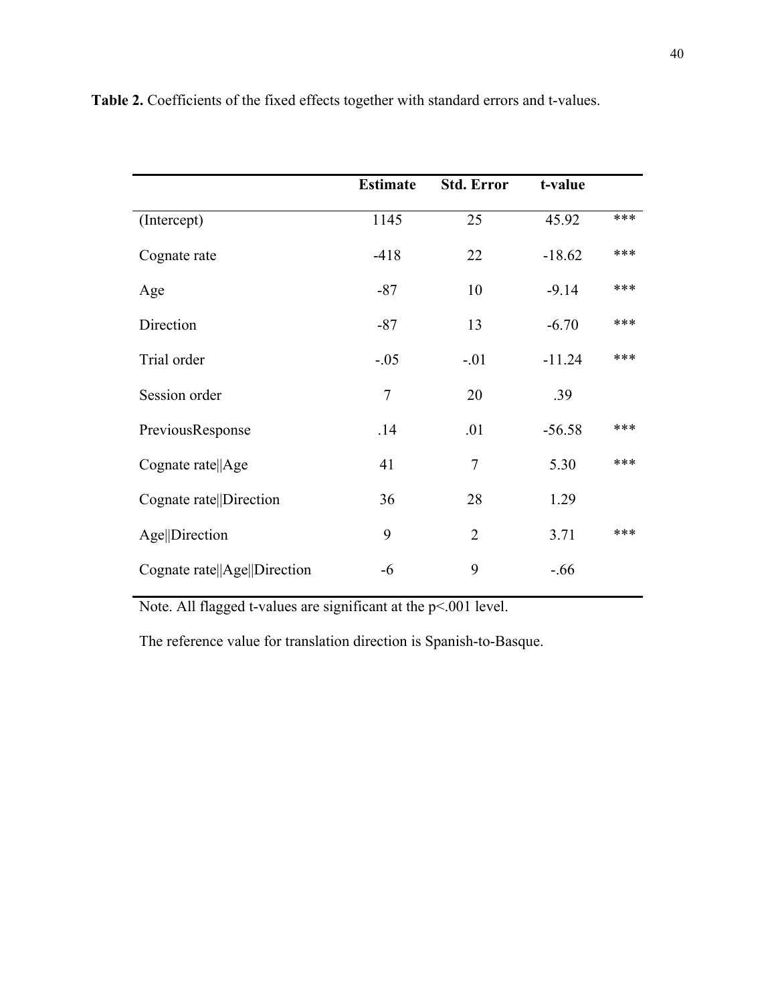|                              | <b>Estimate</b> | <b>Std. Error</b> | t-value  |     |
|------------------------------|-----------------|-------------------|----------|-----|
| (Intercept)                  | 1145            | 25                | 45.92    | *** |
| Cognate rate                 | $-418$          | 22                | $-18.62$ | *** |
| Age                          | $-87$           | 10                | $-9.14$  | *** |
| Direction                    | $-87$           | 13                | $-6.70$  | *** |
| Trial order                  | $-.05$          | $-.01$            | $-11.24$ | *** |
| Session order                | $\overline{7}$  | 20                | .39      |     |
| PreviousResponse             | .14             | .01               | $-56.58$ | *** |
| Cognate rate  Age            | 41              | 7                 | 5.30     | *** |
| Cognate rate  Direction      | 36              | 28                | 1.29     |     |
| Age  Direction               | 9               | $\overline{2}$    | 3.71     | *** |
| Cognate rate  Age  Direction | -6              | 9                 | $-0.66$  |     |

**Table 2.** Coefficients of the fixed effects together with standard errors and t-values.

Note. All flagged t-values are significant at the p<.001 level.

The reference value for translation direction is Spanish-to-Basque.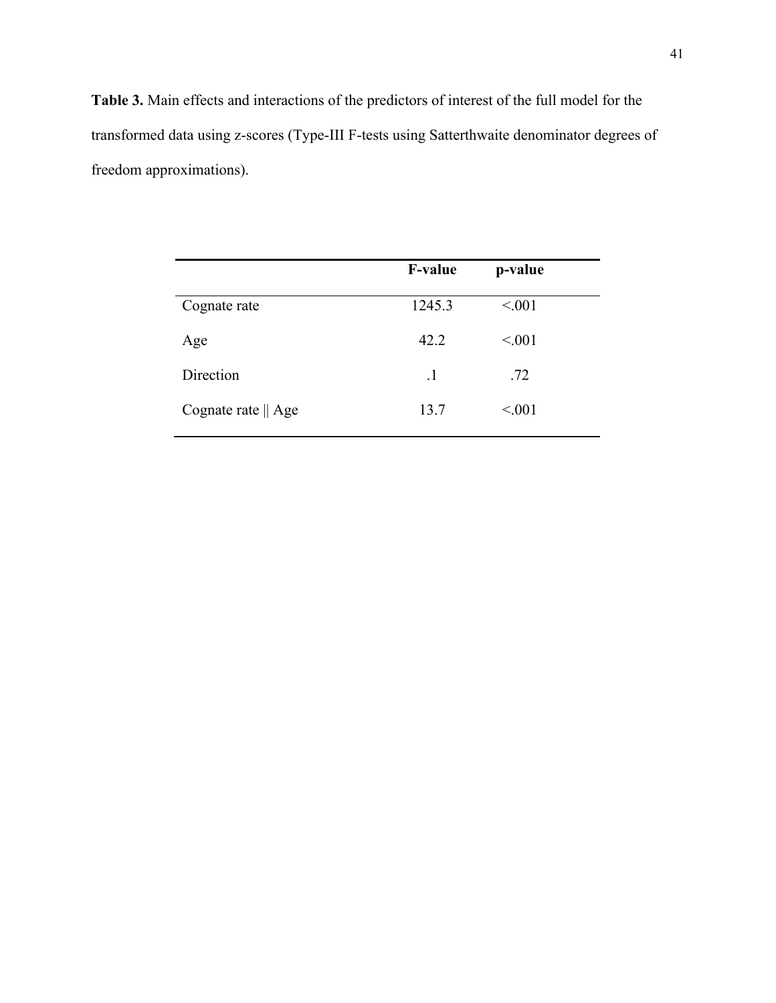**Table 3.** Main effects and interactions of the predictors of interest of the full model for the transformed data using z-scores (Type-III F-tests using Satterthwaite denominator degrees of freedom approximations).

|                              | <b>F-value</b> | p-value |
|------------------------------|----------------|---------|
| Cognate rate                 | 1245.3         | < 0.01  |
| Age                          | 42.2           | < 0.01  |
| Direction                    | $\cdot$        | .72     |
| Cognate rate $\parallel$ Age | 13.7           | < 0.01  |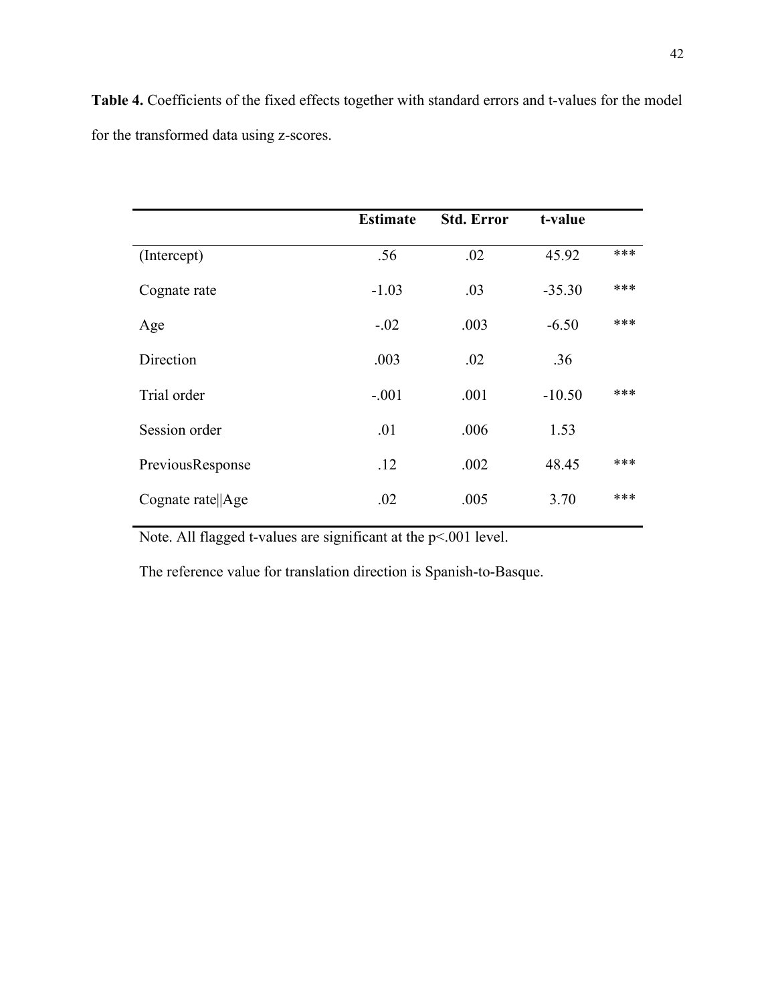**Table 4.** Coefficients of the fixed effects together with standard errors and t-values for the model for the transformed data using z-scores.

|                   | <b>Estimate</b> | <b>Std. Error</b> | t-value  |     |
|-------------------|-----------------|-------------------|----------|-----|
| (Intercept)       | .56             | .02               | 45.92    | *** |
| Cognate rate      | $-1.03$         | .03               | $-35.30$ | *** |
| Age               | $-.02$          | .003              | $-6.50$  | *** |
| Direction         | .003            | .02               | .36      |     |
| Trial order       | $-.001$         | .001              | $-10.50$ | *** |
| Session order     | .01             | .006              | 1.53     |     |
| PreviousResponse  | .12             | .002              | 48.45    | *** |
| Cognate rate  Age | .02             | .005              | 3.70     | *** |

Note. All flagged t-values are significant at the p<.001 level.

The reference value for translation direction is Spanish-to-Basque.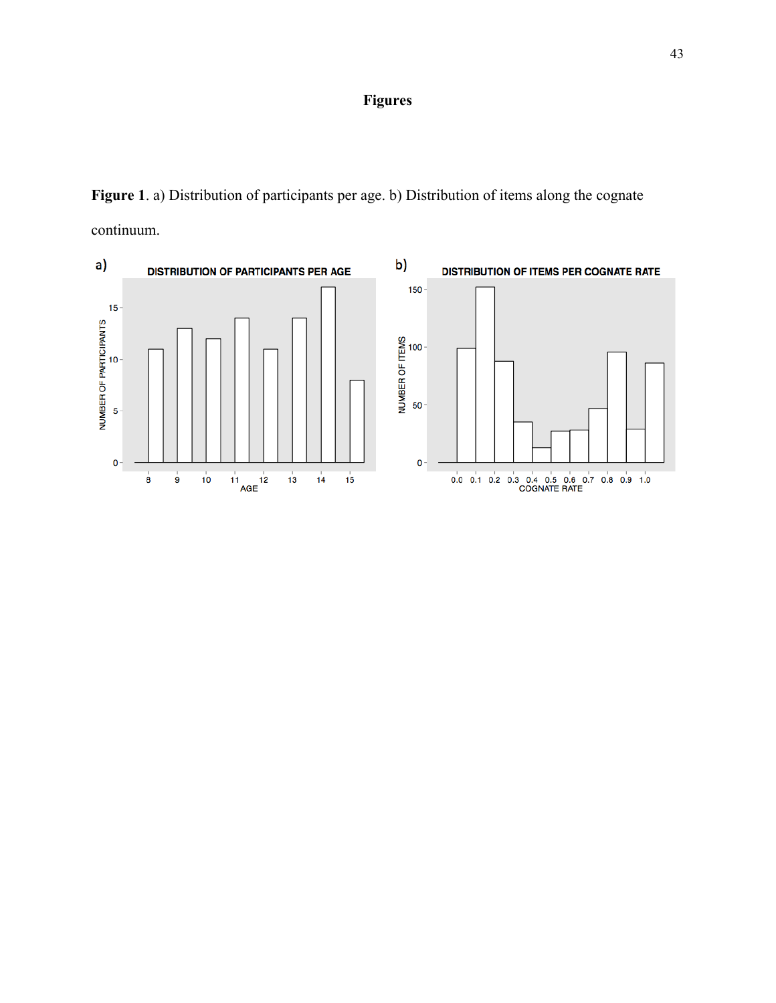## **Figures**

**Figure 1**. a) Distribution of participants per age. b) Distribution of items along the cognate continuum.

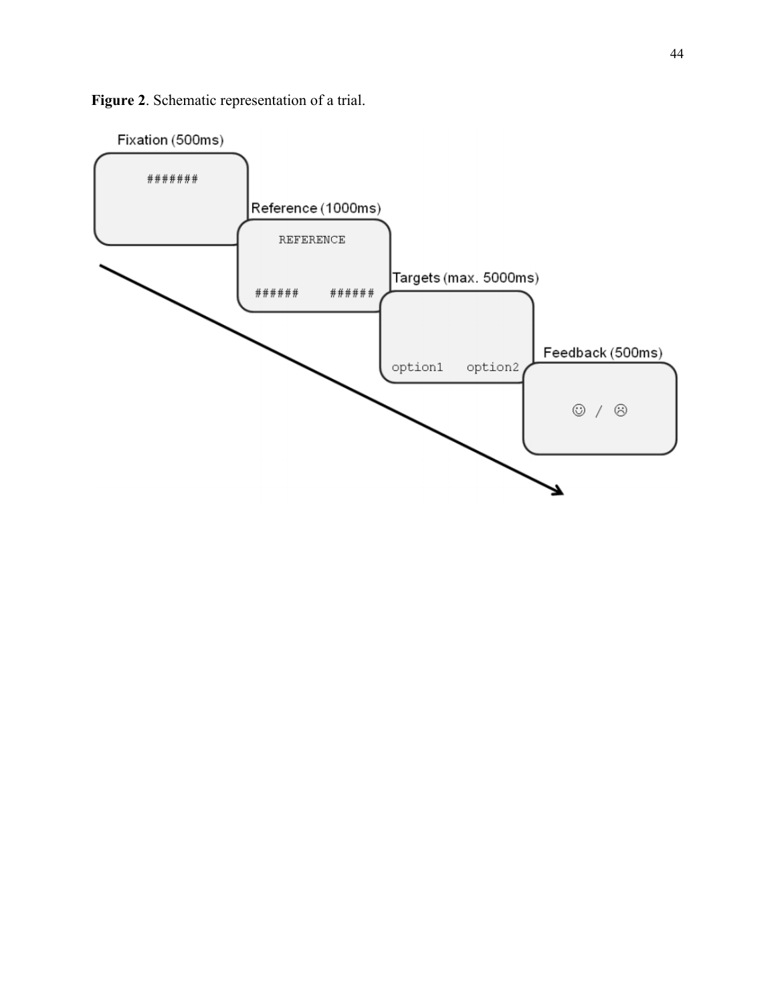

**Figure 2**. Schematic representation of a trial.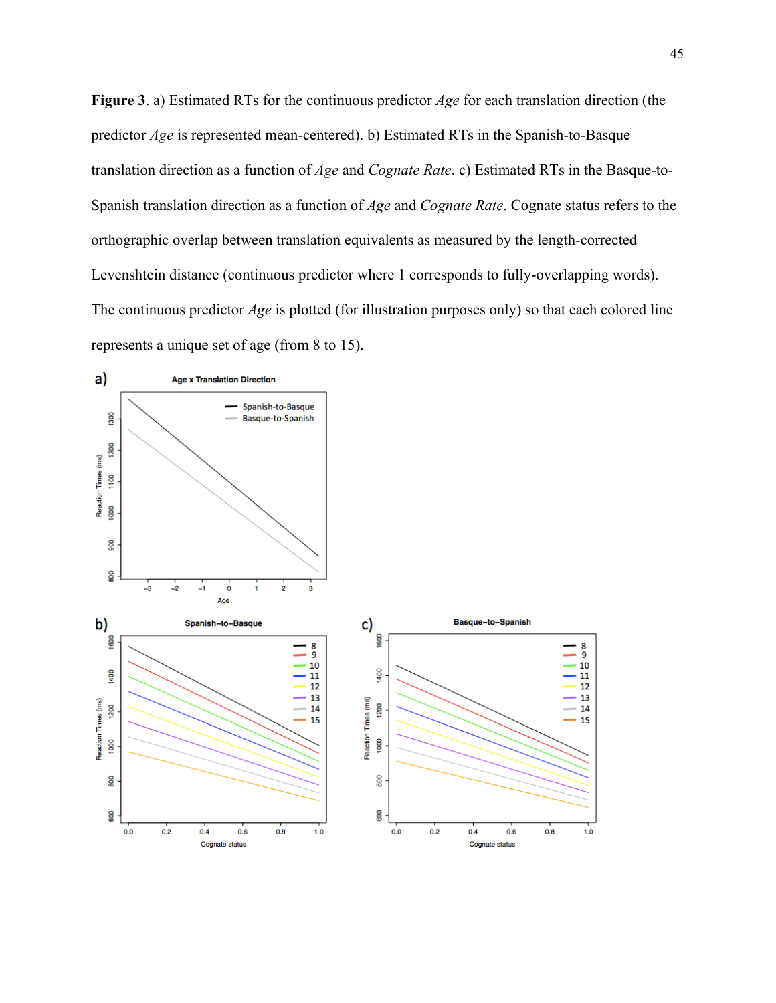**Figure 3**. a) Estimated RTs for the continuous predictor *Age* for each translation direction (the predictor *Age* is represented mean-centered). b) Estimated RTs in the Spanish-to-Basque translation direction as a function of *Age* and *Cognate Rate*. c) Estimated RTs in the Basque-to-Spanish translation direction as a function of *Age* and *Cognate Rate*. Cognate status refers to the orthographic overlap between translation equivalents as measured by the length-corrected Levenshtein distance (continuous predictor where 1 corresponds to fully-overlapping words). The continuous predictor *Age* is plotted (for illustration purposes only) so that each colored line represents a unique set of age (from 8 to 15).